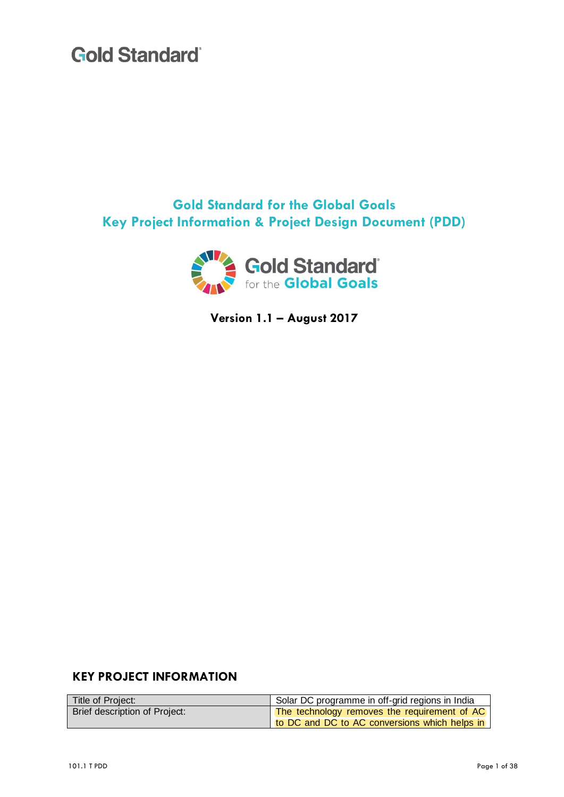**Gold Standard for the Global Goals Key Project Information & Project Design Document (PDD)**



**Version 1.1 – August 2017**

### **KEY PROJECT INFORMATION**

| Title of Project:             | Solar DC programme in off-grid regions in India |
|-------------------------------|-------------------------------------------------|
| Brief description of Project: | The technology removes the requirement of AC    |
|                               | to DC and DC to AC conversions which helps in   |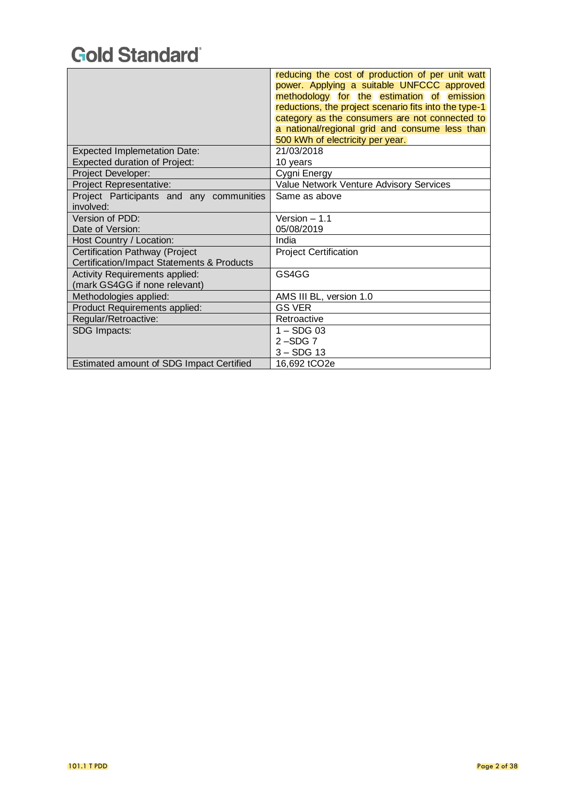|                                            | reducing the cost of production of per unit watt      |
|--------------------------------------------|-------------------------------------------------------|
|                                            | power. Applying a suitable UNFCCC approved            |
|                                            | methodology for the estimation of emission            |
|                                            | reductions, the project scenario fits into the type-1 |
|                                            | category as the consumers are not connected to        |
|                                            | a national/regional grid and consume less than        |
|                                            | 500 kWh of electricity per year.                      |
| <b>Expected Implemetation Date:</b>        | 21/03/2018                                            |
| <b>Expected duration of Project:</b>       | 10 years                                              |
| Project Developer:                         | Cygni Energy                                          |
| Project Representative:                    | Value Network Venture Advisory Services               |
| Project Participants and any communities   | Same as above                                         |
| involved:                                  |                                                       |
| Version of PDD:                            | Version $-1.1$                                        |
| Date of Version:                           | 05/08/2019                                            |
| Host Country / Location:                   | India                                                 |
| Certification Pathway (Project             | <b>Project Certification</b>                          |
| Certification/Impact Statements & Products |                                                       |
| <b>Activity Requirements applied:</b>      | GS4GG                                                 |
| (mark GS4GG if none relevant)              |                                                       |
| Methodologies applied:                     | AMS III BL, version 1.0                               |
| Product Requirements applied:              | <b>GS VER</b>                                         |
| Regular/Retroactive:                       | Retroactive                                           |
| SDG Impacts:                               | $1 -$ SDG 03                                          |
|                                            | $2 - SDG$ 7                                           |
|                                            | $3 -$ SDG 13                                          |
| Estimated amount of SDG Impact Certified   | 16,692 tCO2e                                          |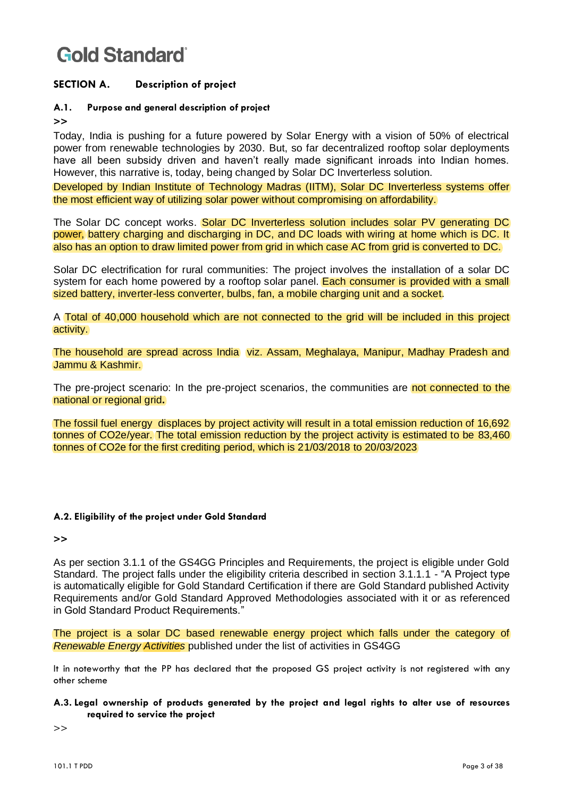### **SECTION A. Description of project**

### **A.1. Purpose and general description of project**

**>>**

Today, India is pushing for a future powered by Solar Energy with a vision of 50% of electrical power from renewable technologies by 2030. But, so far decentralized rooftop solar deployments have all been subsidy driven and haven't really made significant inroads into Indian homes. However, this narrative is, today, being changed by Solar DC Inverterless solution.

Developed by Indian Institute of Technology Madras (IITM), Solar DC Inverterless systems offer the most efficient way of utilizing solar power without compromising on affordability.

The Solar DC concept works. Solar DC Inverterless solution includes solar PV generating DC power, battery charging and discharging in DC, and DC loads with wiring at home which is DC. It also has an option to draw limited power from grid in which case AC from grid is converted to DC.

Solar DC electrification for rural communities: The project involves the installation of a solar DC system for each home powered by a rooftop solar panel. Each consumer is provided with a small sized battery, inverter-less converter, bulbs, fan, a mobile charging unit and a socket.

A Total of 40,000 household which are not connected to the grid will be included in this project activity.

The household are spread across India viz. Assam, Meghalaya, Manipur, Madhay Pradesh and Jammu & Kashmir.

The pre-project scenario: In the pre-project scenarios, the communities are not connected to the national or regional grid**.**

The fossil fuel energy displaces by project activity will result in a total emission reduction of 16,692 tonnes of CO2e/year. The total emission reduction by the project activity is estimated to be 83,460 tonnes of CO2e for the first crediting period, which is 21/03/2018 to 20/03/2023

#### **A.2. Eligibility of the project under Gold Standard**

**>>**

As per section 3.1.1 of the GS4GG Principles and Requirements, the project is eligible under Gold Standard. The project falls under the eligibility criteria described in section 3.1.1.1 - "A Project type is automatically eligible for Gold Standard Certification if there are Gold Standard published Activity Requirements and/or Gold Standard Approved Methodologies associated with it or as referenced in Gold Standard Product Requirements."

The project is a solar DC based renewable energy project which falls under the category of *Renewable Energy Activities* published under the list of activities in GS4GG

It in noteworthy that the PP has declared that the proposed GS project activity is not registered with any other scheme

#### **A.3. Legal ownership of products generated by the project and legal rights to alter use of resources required to service the project**

>>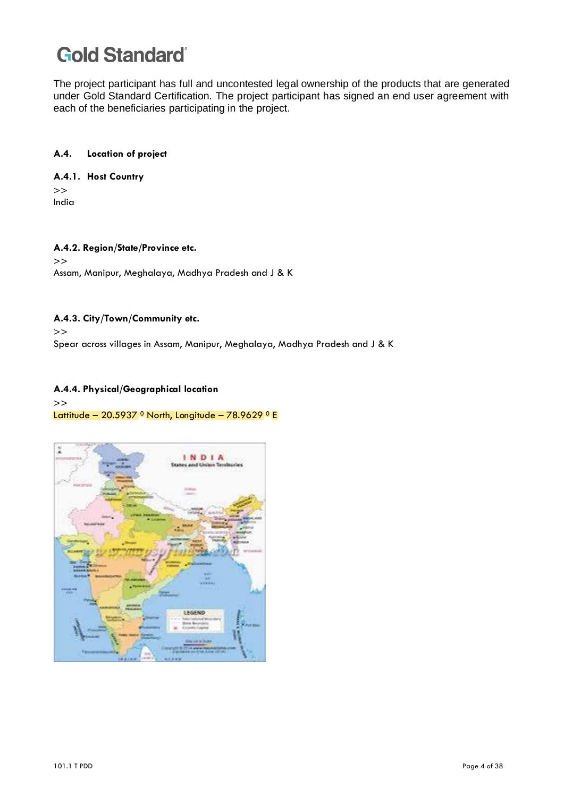The project participant has full and uncontested legal ownership of the products that are generated under Gold Standard Certification. The project participant has signed an end user agreement with each of the beneficiaries participating in the project.

#### **A.4. Location of project**

#### **A.4.1. Host Country**

>> India

#### **A.4.2. Region/State/Province etc.** >> Assam, Manipur, Meghalaya, Madhya Pradesh and J & K

#### **A.4.3. City/Town/Community etc.**

>>

Spear across villages in Assam, Manipur, Meghalaya, Madhya Pradesh and J & K

#### **A.4.4. Physical/Geographical location**

#### >>

#### Lattitude – 20.5937 <sup>o</sup> North, Longitude – 78.9629 <sup>o</sup> E

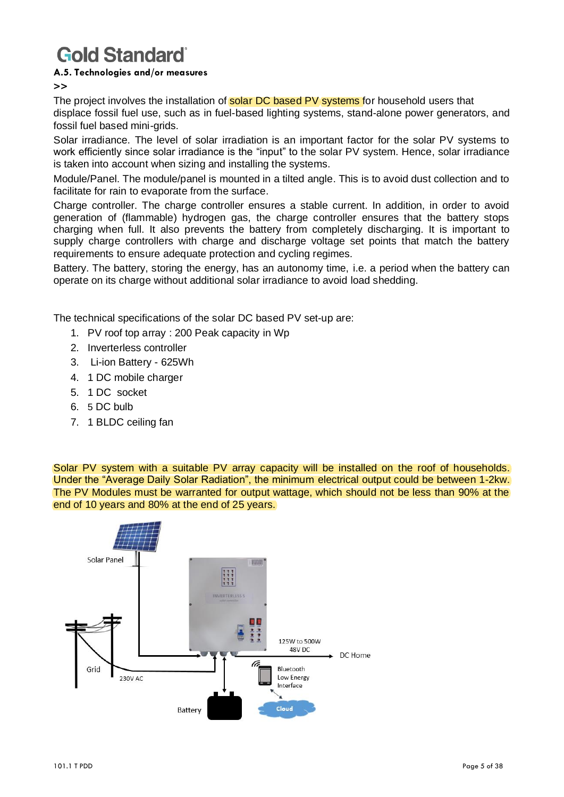#### **A.5. Technologies and/or measures**

**>>**

The project involves the installation of **solar DC based PV systems** for household users that displace fossil fuel use, such as in fuel-based lighting systems, stand-alone power generators, and fossil fuel based mini-grids.

Solar irradiance. The level of solar irradiation is an important factor for the solar PV systems to work efficiently since solar irradiance is the "input" to the solar PV system. Hence, solar irradiance is taken into account when sizing and installing the systems.

Module/Panel. The module/panel is mounted in a tilted angle. This is to avoid dust collection and to facilitate for rain to evaporate from the surface.

Charge controller. The charge controller ensures a stable current. In addition, in order to avoid generation of (flammable) hydrogen gas, the charge controller ensures that the battery stops charging when full. It also prevents the battery from completely discharging. It is important to supply charge controllers with charge and discharge voltage set points that match the battery requirements to ensure adequate protection and cycling regimes.

Battery. The battery, storing the energy, has an autonomy time, i.e. a period when the battery can operate on its charge without additional solar irradiance to avoid load shedding.

The technical specifications of the solar DC based PV set-up are:

- 1. PV roof top array : 200 Peak capacity in Wp
- 2. Inverterless controller
- 3. Li-ion Battery 625Wh
- 4. 1 DC mobile charger
- 5. 1 DC socket
- 6. 5 DC bulb
- 7. 1 BLDC ceiling fan

Solar PV system with a suitable PV array capacity will be installed on the roof of households. Under the "Average Daily Solar Radiation", the minimum electrical output could be between 1-2kw. The PV Modules must be warranted for output wattage, which should not be less than 90% at the end of 10 years and 80% at the end of 25 years.

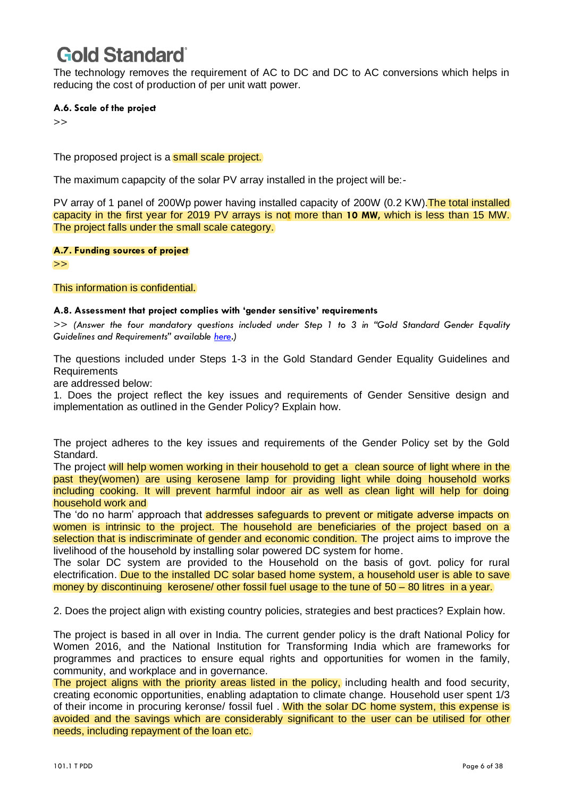The technology removes the requirement of AC to DC and DC to AC conversions which helps in reducing the cost of production of per unit watt power.

#### **A.6. Scale of the project**

>>

The proposed project is a small scale project.

The maximum capapcity of the solar PV array installed in the project will be:-

PV array of 1 panel of 200Wp power having installed capacity of 200W (0.2 KW). The total installed capacity in the first year for 2019 PV arrays is not more than **10 MW,** which is less than 15 MW. The project falls under the small scale category.

**A.7. Funding sources of project** 

>>

This information is confidential.

#### **A.8. Assessment that project complies with 'gender sensitive' requirements**

>> *(Answer the four mandatory questions included under Step 1 to 3 in "Gold Standard Gender Equality Guidelines and Requirements" available [here.](https://globalgoals.goldstandard.org/100_g/101-1-g-gold-standard-gender-guidelines))*

The questions included under Steps 1-3 in the Gold Standard Gender Equality Guidelines and **Requirements** 

are addressed below:

1. Does the project reflect the key issues and requirements of Gender Sensitive design and implementation as outlined in the Gender Policy? Explain how.

The project adheres to the key issues and requirements of the Gender Policy set by the Gold Standard.

The project will help women working in their household to get a clean source of light where in the past they(women) are using kerosene lamp for providing light while doing household works including cooking. It will prevent harmful indoor air as well as clean light will help for doing household work and

The 'do no harm' approach that addresses safeguards to prevent or mitigate adverse impacts on women is intrinsic to the project. The household are beneficiaries of the project based on a selection that is indiscriminate of gender and economic condition. The project aims to improve the livelihood of the household by installing solar powered DC system for home.

The solar DC system are provided to the Household on the basis of govt. policy for rural electrification. Due to the installed DC solar based home system, a household user is able to save money by discontinuing kerosene/ other fossil fuel usage to the tune of 50 – 80 litres in a year.

2. Does the project align with existing country policies, strategies and best practices? Explain how.

The project is based in all over in India. The current gender policy is the draft National Policy for Women 2016, and the National Institution for Transforming India which are frameworks for programmes and practices to ensure equal rights and opportunities for women in the family, community, and workplace and in governance.

The project aligns with the priority areas listed in the policy, including health and food security, creating economic opportunities, enabling adaptation to climate change. Household user spent 1/3 of their income in procuring keronse/ fossil fuel . With the solar DC home system, this expense is avoided and the savings which are considerably significant to the user can be utilised for other needs, including repayment of the loan etc.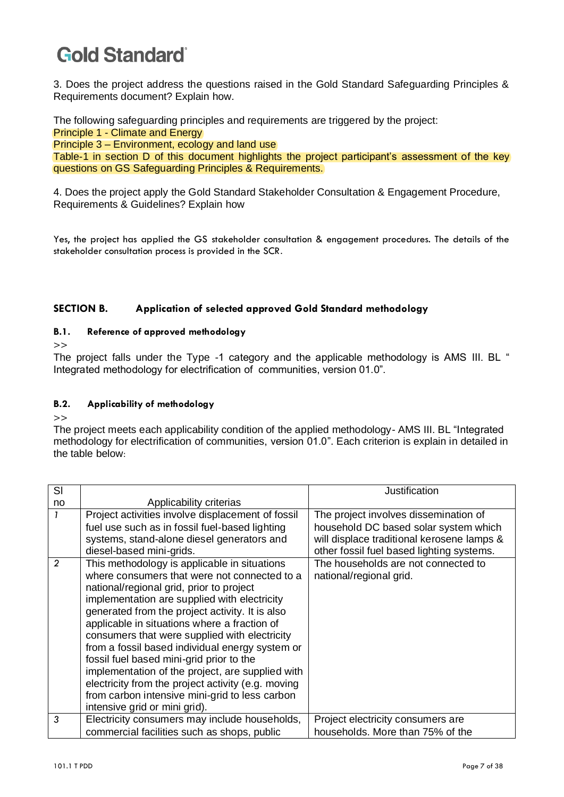3. Does the project address the questions raised in the Gold Standard Safeguarding Principles & Requirements document? Explain how.

The following safeguarding principles and requirements are triggered by the project:

Principle 1 - Climate and Energy

Principle 3 – Environment, ecology and land use

Table-1 in section D of this document highlights the project participant's assessment of the key questions on GS Safeguarding Principles & Requirements.

4. Does the project apply the Gold Standard Stakeholder Consultation & Engagement Procedure, Requirements & Guidelines? Explain how

Yes, the project has applied the GS stakeholder consultation & engagement procedures. The details of the stakeholder consultation process is provided in the SCR.

### **SECTION B. Application of selected approved Gold Standard methodology**

#### **B.1. Reference of approved methodology**

>>

The project falls under the Type -1 category and the applicable methodology is AMS III. BL " Integrated methodology for electrification of communities, version 01.0".

### **B.2. Applicability of methodology**

 $\rightarrow$ 

The project meets each applicability condition of the applied methodology- AMS III. BL "Integrated methodology for electrification of communities, version 01.0". Each criterion is explain in detailed in the table below:

| SI             |                                                    | Justification                              |
|----------------|----------------------------------------------------|--------------------------------------------|
| no             | Applicability criterias                            |                                            |
| 1              | Project activities involve displacement of fossil  | The project involves dissemination of      |
|                | fuel use such as in fossil fuel-based lighting     | household DC based solar system which      |
|                | systems, stand-alone diesel generators and         | will displace traditional kerosene lamps & |
|                | diesel-based mini-grids.                           | other fossil fuel based lighting systems.  |
| $\overline{2}$ | This methodology is applicable in situations       | The households are not connected to        |
|                | where consumers that were not connected to a       | national/regional grid.                    |
|                | national/regional grid, prior to project           |                                            |
|                | implementation are supplied with electricity       |                                            |
|                | generated from the project activity. It is also    |                                            |
|                | applicable in situations where a fraction of       |                                            |
|                | consumers that were supplied with electricity      |                                            |
|                | from a fossil based individual energy system or    |                                            |
|                | fossil fuel based mini-grid prior to the           |                                            |
|                | implementation of the project, are supplied with   |                                            |
|                | electricity from the project activity (e.g. moving |                                            |
|                | from carbon intensive mini-grid to less carbon     |                                            |
|                | intensive grid or mini grid).                      |                                            |
| 3              | Electricity consumers may include households,      | Project electricity consumers are          |
|                | commercial facilities such as shops, public        | households. More than 75% of the           |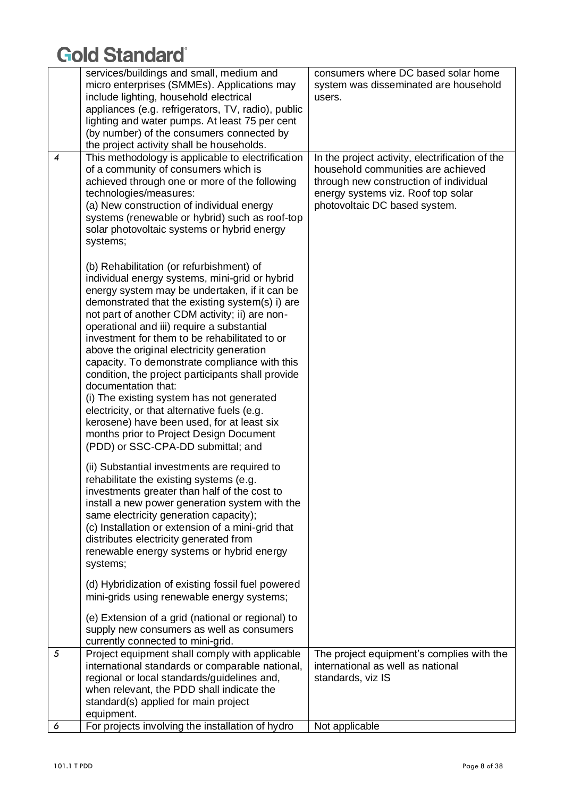|                | services/buildings and small, medium and<br>micro enterprises (SMMEs). Applications may<br>include lighting, household electrical<br>appliances (e.g. refrigerators, TV, radio), public<br>lighting and water pumps. At least 75 per cent<br>(by number) of the consumers connected by<br>the project activity shall be households.                                                                                                                                                                                                                                                                                                                                                                                                                   | consumers where DC based solar home<br>system was disseminated are household<br>users.                                                                                                                 |
|----------------|-------------------------------------------------------------------------------------------------------------------------------------------------------------------------------------------------------------------------------------------------------------------------------------------------------------------------------------------------------------------------------------------------------------------------------------------------------------------------------------------------------------------------------------------------------------------------------------------------------------------------------------------------------------------------------------------------------------------------------------------------------|--------------------------------------------------------------------------------------------------------------------------------------------------------------------------------------------------------|
| 4              | This methodology is applicable to electrification<br>of a community of consumers which is<br>achieved through one or more of the following<br>technologies/measures:<br>(a) New construction of individual energy<br>systems (renewable or hybrid) such as roof-top<br>solar photovoltaic systems or hybrid energy<br>systems;                                                                                                                                                                                                                                                                                                                                                                                                                        | In the project activity, electrification of the<br>household communities are achieved<br>through new construction of individual<br>energy systems viz. Roof top solar<br>photovoltaic DC based system. |
|                | (b) Rehabilitation (or refurbishment) of<br>individual energy systems, mini-grid or hybrid<br>energy system may be undertaken, if it can be<br>demonstrated that the existing system(s) i) are<br>not part of another CDM activity; ii) are non-<br>operational and iii) require a substantial<br>investment for them to be rehabilitated to or<br>above the original electricity generation<br>capacity. To demonstrate compliance with this<br>condition, the project participants shall provide<br>documentation that:<br>(i) The existing system has not generated<br>electricity, or that alternative fuels (e.g.<br>kerosene) have been used, for at least six<br>months prior to Project Design Document<br>(PDD) or SSC-CPA-DD submittal; and |                                                                                                                                                                                                        |
|                | (ii) Substantial investments are required to<br>rehabilitate the existing systems (e.g.<br>investments greater than half of the cost to<br>install a new power generation system with the<br>same electricity generation capacity);<br>(c) Installation or extension of a mini-grid that<br>distributes electricity generated from<br>renewable energy systems or hybrid energy<br>systems;                                                                                                                                                                                                                                                                                                                                                           |                                                                                                                                                                                                        |
|                | (d) Hybridization of existing fossil fuel powered<br>mini-grids using renewable energy systems;                                                                                                                                                                                                                                                                                                                                                                                                                                                                                                                                                                                                                                                       |                                                                                                                                                                                                        |
|                | (e) Extension of a grid (national or regional) to<br>supply new consumers as well as consumers<br>currently connected to mini-grid.                                                                                                                                                                                                                                                                                                                                                                                                                                                                                                                                                                                                                   |                                                                                                                                                                                                        |
| $\mathfrak{s}$ | Project equipment shall comply with applicable<br>international standards or comparable national,<br>regional or local standards/guidelines and,<br>when relevant, the PDD shall indicate the<br>standard(s) applied for main project<br>equipment.                                                                                                                                                                                                                                                                                                                                                                                                                                                                                                   | The project equipment's complies with the<br>international as well as national<br>standards, viz IS                                                                                                    |
| 6              | For projects involving the installation of hydro                                                                                                                                                                                                                                                                                                                                                                                                                                                                                                                                                                                                                                                                                                      | Not applicable                                                                                                                                                                                         |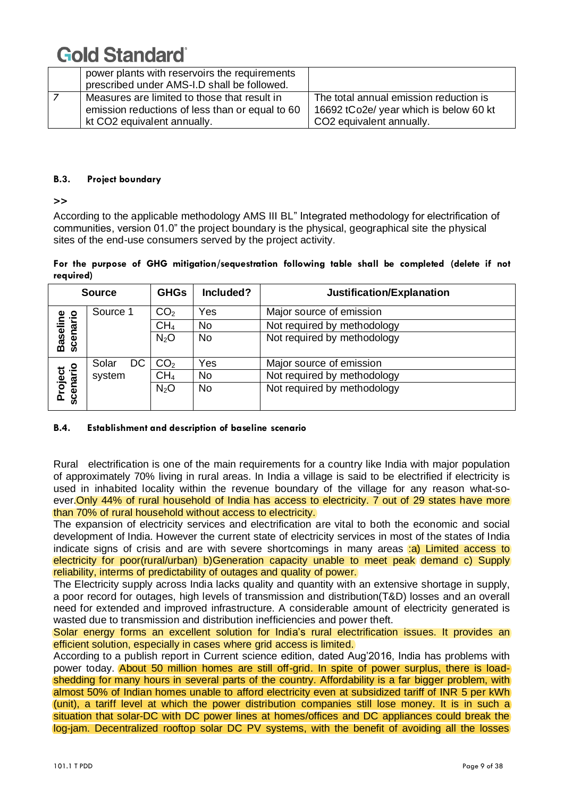| power plants with reservoirs the requirements<br>prescribed under AMS-I.D shall be followed.                                   |                                                                                                                          |
|--------------------------------------------------------------------------------------------------------------------------------|--------------------------------------------------------------------------------------------------------------------------|
| Measures are limited to those that result in<br>emission reductions of less than or equal to 60<br>kt CO2 equivalent annually. | The total annual emission reduction is<br>16692 tCo2e/ year which is below 60 kt<br>CO <sub>2</sub> equivalent annually. |

#### **B.3. Project boundary**

**>>**

According to the applicable methodology AMS III BL" Integrated methodology for electrification of communities, version 01.0" the project boundary is the physical, geographical site the physical sites of the end-use consumers served by the project activity.

#### **For the purpose of GHG mitigation/sequestration following table shall be completed (delete if not required)**

| <b>Source</b>               |             | <b>GHGs</b>     | Included? | Justification/Explanation   |
|-----------------------------|-------------|-----------------|-----------|-----------------------------|
|                             | Source 1    | CO <sub>2</sub> | Yes       | Major source of emission    |
|                             |             | CH <sub>4</sub> | No        | Not required by methodology |
| <b>Baseline</b><br>scenario |             | $N_2O$          | <b>No</b> | Not required by methodology |
|                             | Solar<br>DC | CO <sub>2</sub> | Yes       | Major source of emission    |
|                             | system      | CH <sub>4</sub> | No        | Not required by methodology |
| Project<br>scenario         |             | $N_2O$          | <b>No</b> | Not required by methodology |

### **B.4. Establishment and description of baseline scenario**

Rural electrification is one of the main requirements for a country like India with major population of approximately 70% living in rural areas. In India a village is said to be electrified if electricity is used in inhabited locality within the revenue boundary of the village for any reason what-soever. Only 44% of rural household of India has access to electricity. 7 out of 29 states have more than 70% of rural household without access to electricity.

The expansion of electricity services and electrification are vital to both the economic and social development of India. However the current state of electricity services in most of the states of India indicate signs of crisis and are with severe shortcomings in many areas :a) Limited access to electricity for poor(rural/urban) b)Generation capacity unable to meet peak demand c) Supply reliability, interms of predictability of outages and quality of power.

The Electricity supply across India lacks quality and quantity with an extensive shortage in supply, a poor record for outages, high levels of transmission and distribution(T&D) losses and an overall need for extended and improved infrastructure. A considerable amount of electricity generated is wasted due to transmission and distribution inefficiencies and power theft.

Solar energy forms an excellent solution for India's rural electrification issues. It provides an efficient solution, especially in cases where grid access is limited.

According to a publish report in Current science edition, dated Aug'2016, India has problems with power today. About 50 million homes are still off-grid. In spite of power surplus, there is loadshedding for many hours in several parts of the country. Affordability is a far bigger problem, with almost 50% of Indian homes unable to afford electricity even at subsidized tariff of INR 5 per kWh (unit), a tariff level at which the power distribution companies still lose money. It is in such a situation that solar-DC with DC power lines at homes/offices and DC appliances could break the log-jam. Decentralized rooftop solar DC PV systems, with the benefit of avoiding all the losses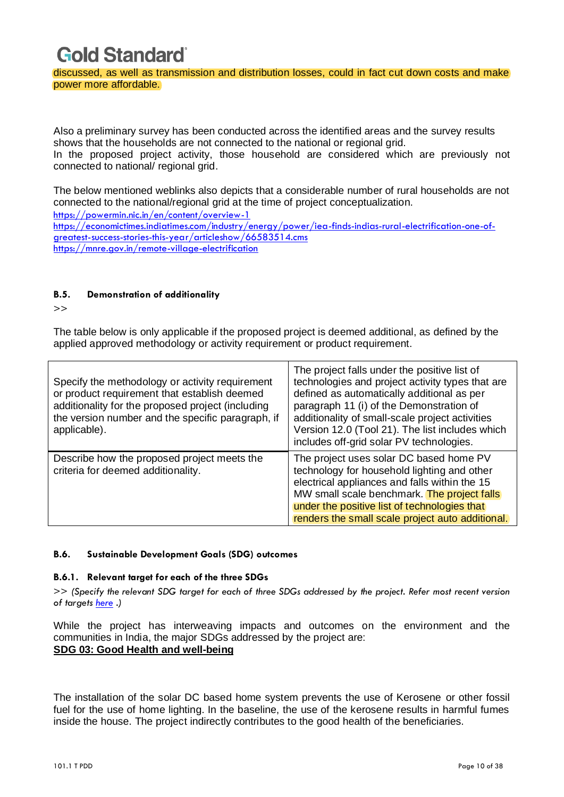discussed, as well as transmission and distribution losses, could in fact cut down costs and make power more affordable.

Also a preliminary survey has been conducted across the identified areas and the survey results shows that the households are not connected to the national or regional grid.

In the proposed project activity, those household are considered which are previously not connected to national/ regional grid.

The below mentioned weblinks also depicts that a considerable number of rural households are not connected to the national/regional grid at the time of project conceptualization. <https://powermin.nic.in/en/content/overview-1>

[https://economictimes.indiatimes.com/industry/energy/power/iea-finds-indias-rural-electrification-one-of](https://economictimes.indiatimes.com/industry/energy/power/iea-finds-indias-rural-electrification-one-of-greatest-success-stories-this-year/articleshow/66583514.cms)[greatest-success-stories-this-year/articleshow/66583514.cms](https://economictimes.indiatimes.com/industry/energy/power/iea-finds-indias-rural-electrification-one-of-greatest-success-stories-this-year/articleshow/66583514.cms) <https://mnre.gov.in/remote-village-electrification>

#### **B.5. Demonstration of additionality**

 $\gt$ 

The table below is only applicable if the proposed project is deemed additional, as defined by the applied approved methodology or activity requirement or product requirement.

| Specify the methodology or activity requirement<br>or product requirement that establish deemed<br>additionality for the proposed project (including<br>the version number and the specific paragraph, if<br>applicable). | The project falls under the positive list of<br>technologies and project activity types that are<br>defined as automatically additional as per<br>paragraph 11 (i) of the Demonstration of<br>additionality of small-scale project activities<br>Version 12.0 (Tool 21). The list includes which<br>includes off-grid solar PV technologies. |
|---------------------------------------------------------------------------------------------------------------------------------------------------------------------------------------------------------------------------|----------------------------------------------------------------------------------------------------------------------------------------------------------------------------------------------------------------------------------------------------------------------------------------------------------------------------------------------|
| Describe how the proposed project meets the<br>criteria for deemed additionality.                                                                                                                                         | The project uses solar DC based home PV<br>technology for household lighting and other<br>electrical appliances and falls within the 15<br>MW small scale benchmark. The project falls<br>under the positive list of technologies that<br>renders the small scale project auto additional.                                                   |

### **B.6. Sustainable Development Goals (SDG) outcomes**

#### **B.6.1. Relevant target for each of the three SDGs**

>> *(Specify the relevant SDG target for each of three SDGs addressed by the project. Refer most recent version of targets [here](http://www.un.org/sustainabledevelopment/sustainable-development-goals/) .)*

While the project has interweaving impacts and outcomes on the environment and the communities in India, the major SDGs addressed by the project are: **SDG 03: Good Health and well-being** 

The installation of the solar DC based home system prevents the use of Kerosene or other fossil fuel for the use of home lighting. In the baseline, the use of the kerosene results in harmful fumes inside the house. The project indirectly contributes to the good health of the beneficiaries.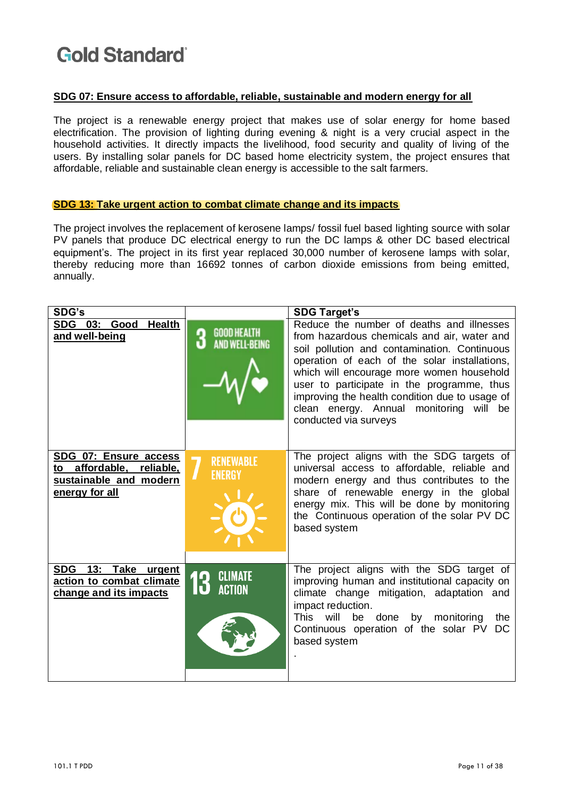#### **SDG 07: Ensure access to affordable, reliable, sustainable and modern energy for all**

The project is a renewable energy project that makes use of solar energy for home based electrification. The provision of lighting during evening & night is a very crucial aspect in the household activities. It directly impacts the livelihood, food security and quality of living of the users. By installing solar panels for DC based home electricity system, the project ensures that affordable, reliable and sustainable clean energy is accessible to the salt farmers.

#### **SDG 13: Take urgent action to combat climate change and its impacts**

The project involves the replacement of kerosene lamps/ fossil fuel based lighting source with solar PV panels that produce DC electrical energy to run the DC lamps & other DC based electrical equipment's. The project in its first year replaced 30,000 number of kerosene lamps with solar, thereby reducing more than 16692 tonnes of carbon dioxide emissions from being emitted, annually.

| SDG's                                                                                               |                                                  | <b>SDG Target's</b>                                                                                                                                                                                                                                                                                                                                                                                           |
|-----------------------------------------------------------------------------------------------------|--------------------------------------------------|---------------------------------------------------------------------------------------------------------------------------------------------------------------------------------------------------------------------------------------------------------------------------------------------------------------------------------------------------------------------------------------------------------------|
| SDG 03: Good<br><b>Health</b><br>and well-being                                                     | <b>GOOD HEALTH</b><br>3<br><b>AND WELL-BEING</b> | Reduce the number of deaths and illnesses<br>from hazardous chemicals and air, water and<br>soil pollution and contamination. Continuous<br>operation of each of the solar installations,<br>which will encourage more women household<br>user to participate in the programme, thus<br>improving the health condition due to usage of<br>clean energy. Annual monitoring<br>will be<br>conducted via surveys |
| SDG 07: Ensure access<br>affordable,<br>reliable,<br>to<br>sustainable and modern<br>energy for all | <b>RENEWABLE</b><br>ENERGY                       | The project aligns with the SDG targets of<br>universal access to affordable, reliable and<br>modern energy and thus contributes to the<br>share of renewable energy in the global<br>energy mix. This will be done by monitoring<br>the Continuous operation of the solar PV DC<br>based system                                                                                                              |
| SDG 13: Take urgent<br>action to combat climate<br>change and its impacts                           | <b>CLIMATE</b><br><b>ACTION</b>                  | The project aligns with the SDG target of<br>improving human and institutional capacity on<br>climate change mitigation, adaptation and<br>impact reduction.<br>will<br>This<br>by<br>monitoring<br>be<br>done<br>the<br>Continuous operation of the solar PV<br>DC<br>based system                                                                                                                           |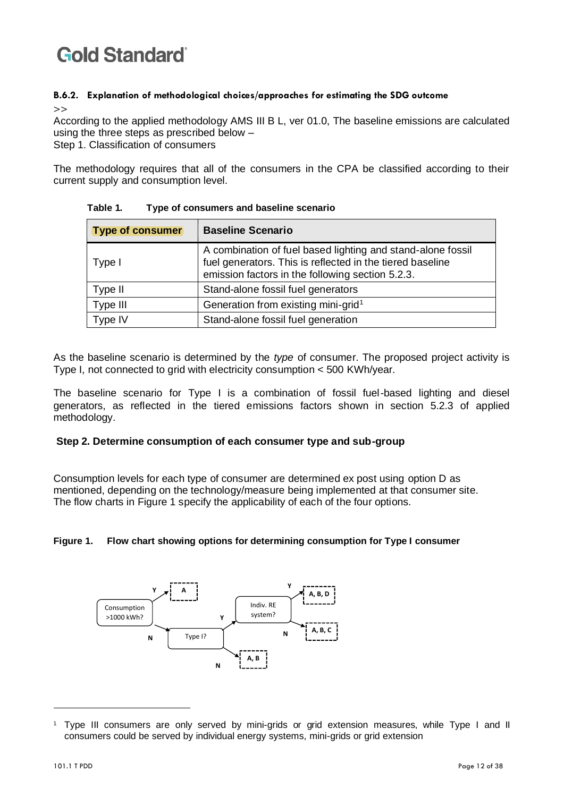## **B.6.2. Explanation of methodological choices/approaches for estimating the SDG outcome**

>>

According to the applied methodology AMS III B L, ver 01.0, The baseline emissions are calculated using the three steps as prescribed below –

Step 1. Classification of consumers

The methodology requires that all of the consumers in the CPA be classified according to their current supply and consumption level.

| <b>Type of consumer</b> | <b>Baseline Scenario</b>                                                                                                                                                     |
|-------------------------|------------------------------------------------------------------------------------------------------------------------------------------------------------------------------|
| Type I                  | A combination of fuel based lighting and stand-alone fossil<br>fuel generators. This is reflected in the tiered baseline<br>emission factors in the following section 5.2.3. |
| Type II                 | Stand-alone fossil fuel generators                                                                                                                                           |
| Type III                | Generation from existing mini-grid <sup>1</sup>                                                                                                                              |
| Type IV                 | Stand-alone fossil fuel generation                                                                                                                                           |

**Table 1. Type of consumers and baseline scenario**

As the baseline scenario is determined by the *type* of consumer. The proposed project activity is Type I, not connected to grid with electricity consumption < 500 KWh/year.

The baseline scenario for Type I is a combination of fossil fuel-based lighting and diesel generators, as reflected in the tiered emissions factors shown in section 5.2.3 of applied methodology.

### **Step 2. Determine consumption of each consumer type and sub-group**

Consumption levels for each type of consumer are determined ex post using option D as mentioned, depending on the technology/measure being implemented at that consumer site. The flow charts in Figure 1 specify the applicability of each of the four options.

### **Figure 1. Flow chart showing options for determining consumption for Type I consumer**



<sup>1</sup> Type III consumers are only served by mini-grids or grid extension measures, while Type I and II consumers could be served by individual energy systems, mini-grids or grid extension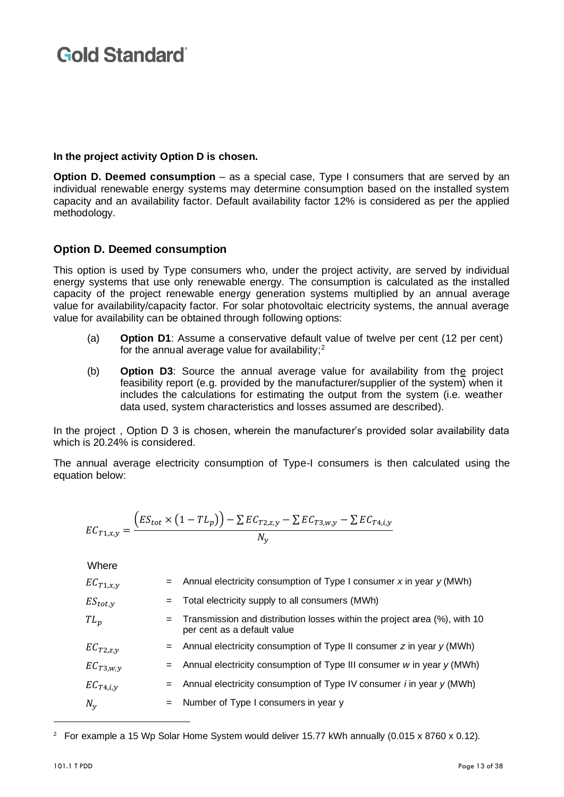### **In the project activity Option D is chosen.**

**Option D. Deemed consumption** – as a special case, Type I consumers that are served by an individual renewable energy systems may determine consumption based on the installed system capacity and an availability factor. Default availability factor 12% is considered as per the applied methodology.

### **Option D. Deemed consumption**

<span id="page-12-0"></span>This option is used by Type consumers who, under the project activity, are served by individual energy systems that use only renewable energy. The consumption is calculated as the installed capacity of the project renewable energy generation systems multiplied by an annual average value for availability/capacity factor. For solar photovoltaic electricity systems, the annual average value for availability can be obtained through following options:

- (a) **Option D1**: Assume a conservative default value of twelve per cent (12 per cent) for the annual average value for availability;<sup>2</sup>
- (b) **Option D3**: Source the annual average value for availability from the project feasibility report (e.g. provided by the manufacturer/supplier of the system) when it includes the calculations for estimating the output from the system (i.e. weather data used, system characteristics and losses assumed are described).

In the project , Option D 3 is chosen, wherein the manufacturer's provided solar availability data which is 20.24% is considered.

The annual average electricity consumption of Type-I consumers is then calculated using the equation below:

$$
EC_{T1,x,y} = \frac{(ES_{tot} \times (1 - TL_p)) - \sum EC_{T2,z,y} - \sum EC_{T3,w,y} - \sum EC_{T4,i,y}}{N_y}
$$

Where

| $EC_{T1,x,y}$      |     | $=$ Annual electricity consumption of Type I consumer x in year y (MWh)                                  |
|--------------------|-----|----------------------------------------------------------------------------------------------------------|
| $ES_{tot, \gamma}$ |     | = Total electricity supply to all consumers (MWh)                                                        |
| $TL_p$             | $=$ | Transmission and distribution losses within the project area (%), with 10<br>per cent as a default value |
| $EC_{T2,Z,V}$      |     | $=$ Annual electricity consumption of Type II consumer z in year $y$ (MWh)                               |
| $EC_{T3,w,y}$      |     | $=$ Annual electricity consumption of Type III consumer w in year $y$ (MWh)                              |
| $EC_{T4,i,y}$      |     | $=$ Annual electricity consumption of Type IV consumer <i>i</i> in year $y$ (MWh)                        |
| $N_{\nu}$          |     | $=$ Number of Type I consumers in year y                                                                 |

<sup>&</sup>lt;sup>2</sup> For example a 15 Wp Solar Home System would deliver 15.77 kWh annually  $(0.015 \times 8760 \times 0.12)$ .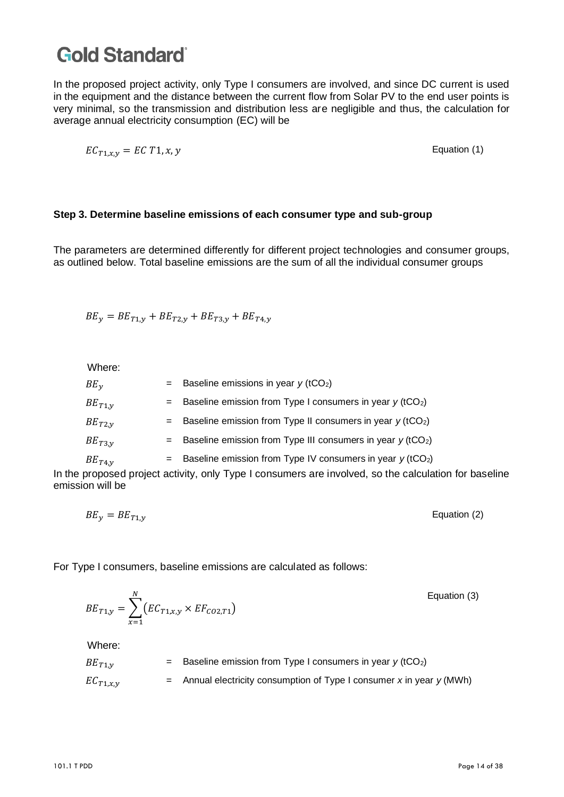In the proposed project activity, only Type I consumers are involved, and since DC current is used in the equipment and the distance between the current flow from Solar PV to the end user points is very minimal, so the transmission and distribution less are negligible and thus, the calculation for average annual electricity consumption (EC) will be

$$
EC_{T1,x,y} = EC T1, x, y
$$
 Equation (1)

### **Step 3. Determine baseline emissions of each consumer type and sub-group**

The parameters are determined differently for different project technologies and consumer groups, as outlined below. Total baseline emissions are the sum of all the individual consumer groups

 $BE_{v} = BE_{T1,v} + BE_{T2,v} + BE_{T3,v} + BE_{T4,v}$ 

Where:

| $BE_v$      | = Baseline emissions in year $y$ (tCO <sub>2</sub> )                          |
|-------------|-------------------------------------------------------------------------------|
| $BE_{T1,V}$ | = Baseline emission from Type I consumers in year $y$ (tCO <sub>2</sub> )     |
| $BE_{T2,V}$ | $=$ Baseline emission from Type II consumers in year $y$ (tCO <sub>2</sub> )  |
| $BE_{T3,V}$ | $=$ Baseline emission from Type III consumers in year $y$ (tCO <sub>2</sub> ) |
| $BE_{T4,y}$ | $=$ Baseline emission from Type IV consumers in year $y$ (tCO <sub>2</sub> )  |

In the proposed project activity, only Type I consumers are involved, so the calculation for baseline emission will be

$$
BE_y = BE_{T1,y}
$$
 Equation (2)

For Type I consumers, baseline emissions are calculated as follows:

$$
BE_{T1,y} = \sum_{x=1}^{N} \left( EC_{T1,x,y} \times EF_{CO2,T1} \right)
$$
   
Equation (3)

Where:

$$
BE_{T1,y} = Baseline emission from Type I consumers in year y (tCO2)
$$
  

$$
EC_{T1,x,y} = Annual electricity consumption of Type I consumer x in year y (MWh)
$$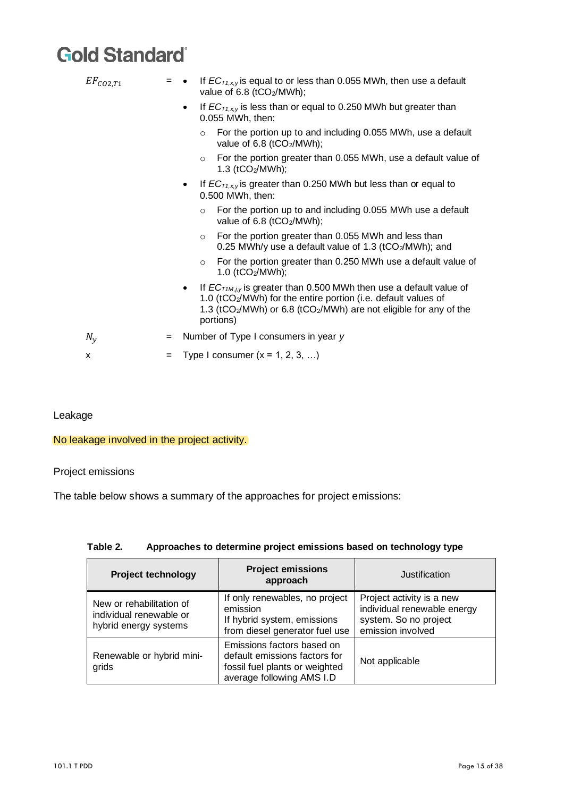| $EF_{CO2,T1}$     | $=$ | If $EC_{T1,x,y}$ is equal to or less than 0.055 MWh, then use a default<br>value of 6.8 (tCO <sub>2</sub> /MWh);                                                                                                                                                 |
|-------------------|-----|------------------------------------------------------------------------------------------------------------------------------------------------------------------------------------------------------------------------------------------------------------------|
|                   |     | If $EC_{T1,x,y}$ is less than or equal to 0.250 MWh but greater than<br>0.055 MWh, then:                                                                                                                                                                         |
|                   |     | For the portion up to and including 0.055 MWh, use a default<br>$\circ$<br>value of 6.8 (tCO2/MWh);                                                                                                                                                              |
|                   |     | For the portion greater than 0.055 MWh, use a default value of<br>$\circ$<br>1.3 ( $tCO2/MWh$ );                                                                                                                                                                 |
|                   |     | If $EC_{71,x,y}$ is greater than 0.250 MWh but less than or equal to<br>٠<br>0.500 MWh, then:                                                                                                                                                                    |
|                   |     | For the portion up to and including 0.055 MWh use a default<br>$\circ$<br>value of 6.8 (tCO2/MWh);                                                                                                                                                               |
|                   |     | For the portion greater than 0.055 MWh and less than<br>$\circ$<br>0.25 MWh/y use a default value of 1.3 (tCO2/MWh); and                                                                                                                                         |
|                   |     | For the portion greater than 0.250 MWh use a default value of<br>$\circ$<br>1.0 ( $tCO2/MWh$ );                                                                                                                                                                  |
|                   |     | If $EC_{T1M,i,v}$ is greater than 0.500 MWh then use a default value of<br>$\bullet$<br>1.0 (tCO2/MWh) for the entire portion (i.e. default values of<br>1.3 (tCO <sub>2</sub> /MWh) or 6.8 (tCO <sub>2</sub> /MWh) are not eligible for any of the<br>portions) |
| $N_{\mathcal{V}}$ | $=$ | Number of Type I consumers in year y                                                                                                                                                                                                                             |
| x                 | $=$ | Type I consumer $(x = 1, 2, 3, )$                                                                                                                                                                                                                                |
|                   |     |                                                                                                                                                                                                                                                                  |

Leakage

### No leakage involved in the project activity.

Project emissions

The table below shows a summary of the approaches for project emissions:

| <b>Project technology</b>                                                    | <b>Project emissions</b><br>approach                                                                                       | Justification                                                                                          |  |
|------------------------------------------------------------------------------|----------------------------------------------------------------------------------------------------------------------------|--------------------------------------------------------------------------------------------------------|--|
| New or rehabilitation of<br>individual renewable or<br>hybrid energy systems | If only renewables, no project<br>emission<br>If hybrid system, emissions<br>from diesel generator fuel use                | Project activity is a new<br>individual renewable energy<br>system. So no project<br>emission involved |  |
| Renewable or hybrid mini-<br>grids                                           | Emissions factors based on<br>default emissions factors for<br>fossil fuel plants or weighted<br>average following AMS I.D | Not applicable                                                                                         |  |

### **Table 2. Approaches to determine project emissions based on technology type**

 $\overline{\phantom{0}}$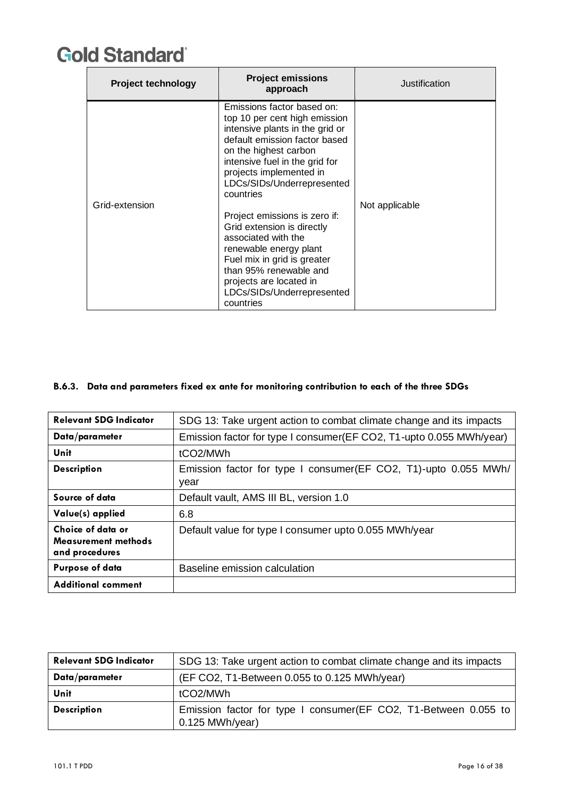| <b>Project technology</b> | <b>Project emissions</b><br>approach                                                                                                                                                                                                                                                              | Justification  |  |
|---------------------------|---------------------------------------------------------------------------------------------------------------------------------------------------------------------------------------------------------------------------------------------------------------------------------------------------|----------------|--|
| Grid-extension            | Emissions factor based on:<br>top 10 per cent high emission<br>intensive plants in the grid or<br>default emission factor based<br>on the highest carbon<br>intensive fuel in the grid for<br>projects implemented in<br>LDCs/SIDs/Underrepresented<br>countries<br>Project emissions is zero if: | Not applicable |  |
|                           | Grid extension is directly<br>associated with the<br>renewable energy plant<br>Fuel mix in grid is greater<br>than 95% renewable and<br>projects are located in<br>LDCs/SIDs/Underrepresented<br>countries                                                                                        |                |  |

#### **B.6.3. Data and parameters fixed ex ante for monitoring contribution to each of the three SDGs**

| <b>Relevant SDG Indicator</b>                                     | SDG 13: Take urgent action to combat climate change and its impacts      |
|-------------------------------------------------------------------|--------------------------------------------------------------------------|
| Data/parameter                                                    | Emission factor for type I consumer(EF CO2, T1-upto 0.055 MWh/year)      |
| Unit                                                              | tCO <sub>2</sub> /MWh                                                    |
| <b>Description</b>                                                | Emission factor for type I consumer (EF CO2, T1)-upto 0.055 MWh/<br>year |
| Source of data                                                    | Default vault, AMS III BL, version 1.0                                   |
| Value(s) applied                                                  | 6.8                                                                      |
| Choice of data or<br><b>Measurement methods</b><br>and procedures | Default value for type I consumer upto 0.055 MWh/year                    |
| <b>Purpose of data</b>                                            | Baseline emission calculation                                            |
| <b>Additional comment</b>                                         |                                                                          |

| <b>Relevant SDG Indicator</b> | SDG 13: Take urgent action to combat climate change and its impacts                   |  |  |
|-------------------------------|---------------------------------------------------------------------------------------|--|--|
| Data/parameter                | (EF CO2, T1-Between 0.055 to 0.125 MWh/year)                                          |  |  |
| Unit                          | tCO2/MWh                                                                              |  |  |
| <b>Description</b>            | Emission factor for type I consumer (EF CO2, T1-Between 0.055 to<br>$0.125$ MWh/year) |  |  |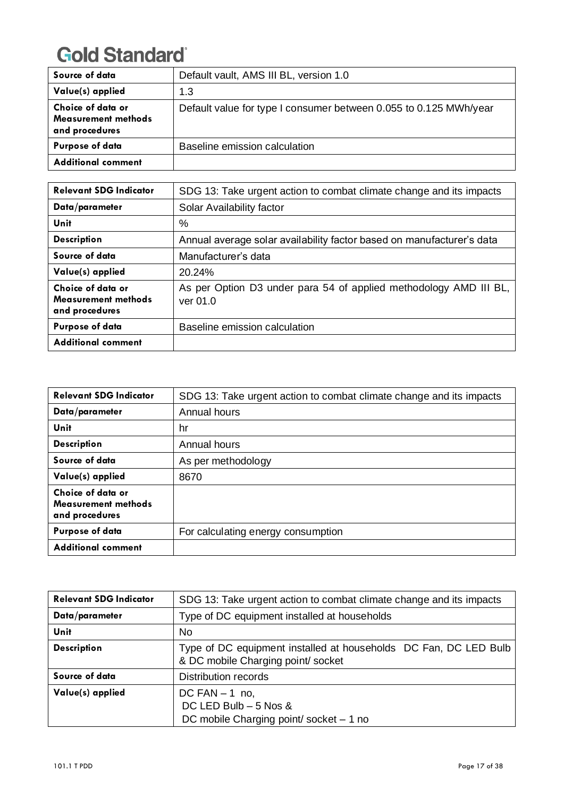| Source of data                                                    | Default vault, AMS III BL, version 1.0                            |
|-------------------------------------------------------------------|-------------------------------------------------------------------|
| Value(s) applied                                                  | 1.3                                                               |
| Choice of data or<br><b>Measurement methods</b><br>and procedures | Default value for type I consumer between 0.055 to 0.125 MWh/year |
| <b>Purpose of data</b>                                            | Baseline emission calculation                                     |
| <b>Additional comment</b>                                         |                                                                   |

| <b>Relevant SDG Indicator</b>                              | SDG 13: Take urgent action to combat climate change and its impacts           |
|------------------------------------------------------------|-------------------------------------------------------------------------------|
| Data/parameter                                             | Solar Availability factor                                                     |
| Unit                                                       | $\%$                                                                          |
| <b>Description</b>                                         | Annual average solar availability factor based on manufacturer's data         |
| Source of data                                             | Manufacturer's data                                                           |
| Value(s) applied                                           | 20.24%                                                                        |
| Choice of data or<br>Measurement methods<br>and procedures | As per Option D3 under para 54 of applied methodology AMD III BL,<br>ver 01.0 |
| Purpose of data                                            | Baseline emission calculation                                                 |
| <b>Additional comment</b>                                  |                                                                               |

| <b>Relevant SDG Indicator</b>                              | SDG 13: Take urgent action to combat climate change and its impacts |
|------------------------------------------------------------|---------------------------------------------------------------------|
| Data/parameter                                             | Annual hours                                                        |
| Unit                                                       | hr                                                                  |
| <b>Description</b>                                         | Annual hours                                                        |
| Source of data                                             | As per methodology                                                  |
| Value(s) applied                                           | 8670                                                                |
| Choice of data or<br>Measurement methods<br>and procedures |                                                                     |
| <b>Purpose of data</b>                                     | For calculating energy consumption                                  |
| <b>Additional comment</b>                                  |                                                                     |

| <b>Relevant SDG Indicator</b> | SDG 13: Take urgent action to combat climate change and its impacts                                    |
|-------------------------------|--------------------------------------------------------------------------------------------------------|
| Data/parameter                | Type of DC equipment installed at households                                                           |
| Unit                          | N <sub>o</sub>                                                                                         |
| <b>Description</b>            | Type of DC equipment installed at households DC Fan, DC LED Bulb<br>& DC mobile Charging point/ socket |
| Source of data                | <b>Distribution records</b>                                                                            |
| Value(s) applied              | DC FAN $-1$ no,<br>DC LED Bulb $-5$ Nos &<br>DC mobile Charging point/ socket - 1 no                   |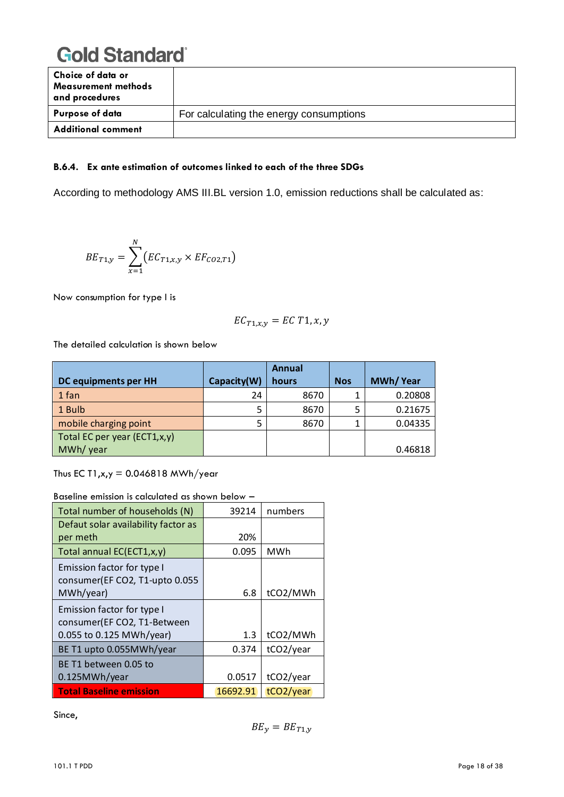| Choice of data or<br><b>Measurement methods</b><br>and procedures |                                         |
|-------------------------------------------------------------------|-----------------------------------------|
| Purpose of data                                                   | For calculating the energy consumptions |
| <b>Additional comment</b>                                         |                                         |

#### **B.6.4. Ex ante estimation of outcomes linked to each of the three SDGs**

According to methodology AMS III.BL version 1.0, emission reductions shall be calculated as:

$$
BE_{T1,y} = \sum_{x=1}^{N} (EC_{T1,x,y} \times EF_{CO2,T1})
$$

Now consumption for type I is

$$
EC_{T1,x,y}=EC\ T1,x,y
$$

The detailed calculation is shown below

|                              |             | Annual |            |                 |
|------------------------------|-------------|--------|------------|-----------------|
| DC equipments per HH         | Capacity(W) | hours  | <b>Nos</b> | <b>MWh/Year</b> |
| 1 fan                        | 24          | 8670   |            | 0.20808         |
| 1 Bulb                       | 5           | 8670   | 5          | 0.21675         |
| mobile charging point        | 5           | 8670   |            | 0.04335         |
| Total EC per year (ECT1,x,y) |             |        |            |                 |
| MWh/ year                    |             |        |            | 0.46818         |

Thus EC T1, $x,y = 0.046818$  MWh/year

| n is calcolated as shown below      |          |            |
|-------------------------------------|----------|------------|
| Total number of households (N)      | 39214    | numbers    |
| Defaut solar availability factor as |          |            |
| per meth                            | 20%      |            |
| Total annual EC(ECT1,x,y)           | 0.095    | <b>MWh</b> |
| Emission factor for type I          |          |            |
| consumer(EF CO2, T1-upto 0.055      |          |            |
| MWh/year)                           | 6.8      | tCO2/MWh   |
| Emission factor for type I          |          |            |
| consumer(EF CO2, T1-Between         |          |            |
| 0.055 to 0.125 MWh/year)            | 1.3      | tCO2/MWh   |
| BE T1 upto 0.055MWh/year            | 0.374    | tCO2/year  |
| BE T1 between 0.05 to               |          |            |
| 0.125MWh/year                       | 0.0517   | tCO2/year  |
| <b>Total Baseline emission</b>      | 16692.91 | tCO2/year  |

Baseline emission is calculated as shown below –

Since,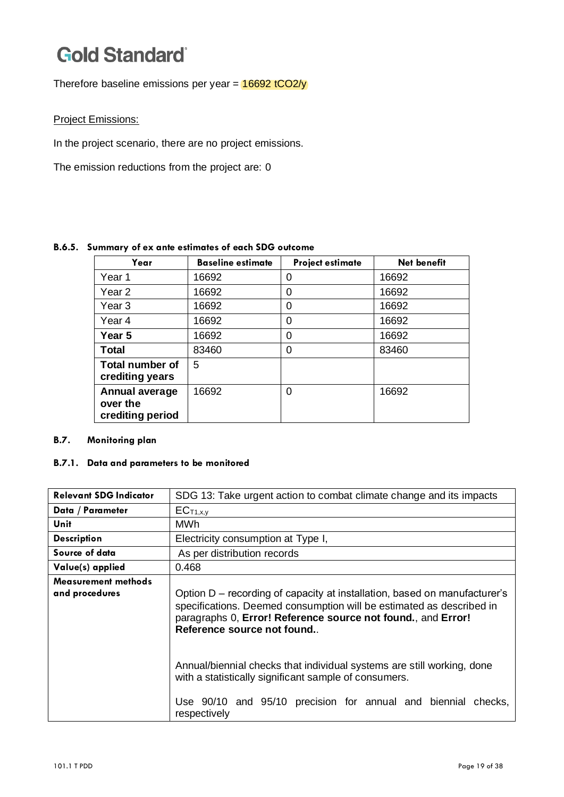Therefore baseline emissions per year =  $16692$  tCO2/y

#### Project Emissions:

In the project scenario, there are no project emissions.

The emission reductions from the project are: 0

#### **B.6.5. Summary of ex ante estimates of each SDG outcome**

| Year                                                  | <b>Baseline estimate</b> | <b>Project estimate</b> | <b>Net benefit</b> |
|-------------------------------------------------------|--------------------------|-------------------------|--------------------|
| Year 1                                                | 16692                    | 0                       | 16692              |
| Year 2                                                | 16692                    | 0                       | 16692              |
| Year <sub>3</sub>                                     | 16692                    | 0                       | 16692              |
| Year 4                                                | 16692                    | 0                       | 16692              |
| Year 5                                                | 16692                    | 0                       | 16692              |
| <b>Total</b>                                          | 83460                    | 0                       | 83460              |
| <b>Total number of</b><br>crediting years             | 5                        |                         |                    |
| <b>Annual average</b><br>over the<br>crediting period | 16692                    | 0                       | 16692              |

#### **B.7. Monitoring plan**

#### **B.7.1. Data and parameters to be monitored**

| <b>Relevant SDG Indicator</b>                | SDG 13: Take urgent action to combat climate change and its impacts                                                                                                                                                                                                                                                                                                                                                                                                 |
|----------------------------------------------|---------------------------------------------------------------------------------------------------------------------------------------------------------------------------------------------------------------------------------------------------------------------------------------------------------------------------------------------------------------------------------------------------------------------------------------------------------------------|
| Data / Parameter                             | EC <sub>T1,x,y</sub>                                                                                                                                                                                                                                                                                                                                                                                                                                                |
| Unit                                         | MWh                                                                                                                                                                                                                                                                                                                                                                                                                                                                 |
| <b>Description</b>                           | Electricity consumption at Type I,                                                                                                                                                                                                                                                                                                                                                                                                                                  |
| Source of data                               | As per distribution records                                                                                                                                                                                                                                                                                                                                                                                                                                         |
| Value(s) applied                             | 0.468                                                                                                                                                                                                                                                                                                                                                                                                                                                               |
| <b>Measurement methods</b><br>and procedures | Option D - recording of capacity at installation, based on manufacturer's<br>specifications. Deemed consumption will be estimated as described in<br>paragraphs 0, Error! Reference source not found., and Error!<br>Reference source not found<br>Annual/biennial checks that individual systems are still working, done<br>with a statistically significant sample of consumers.<br>Use 90/10 and 95/10 precision for annual and biennial checks,<br>respectively |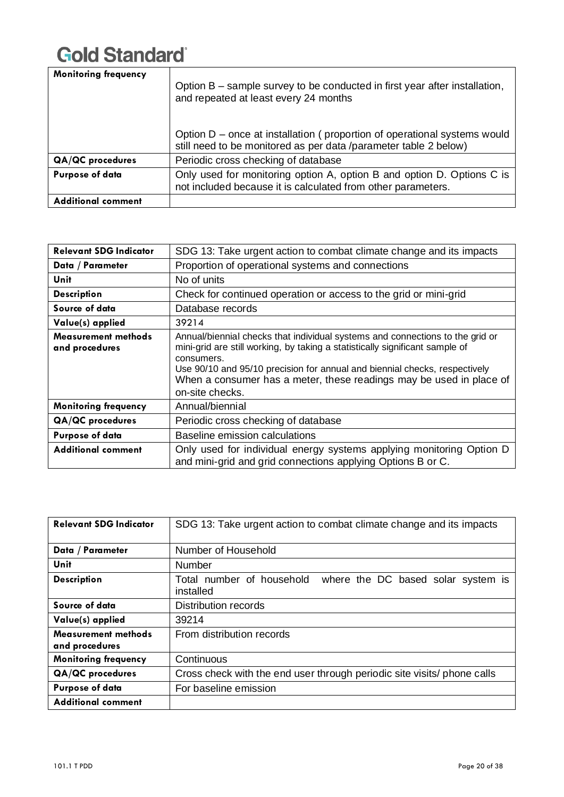| <b>Monitoring frequency</b> | Option B – sample survey to be conducted in first year after installation,<br>and repeated at least every 24 months<br>Option D - once at installation (proportion of operational systems would |
|-----------------------------|-------------------------------------------------------------------------------------------------------------------------------------------------------------------------------------------------|
|                             | still need to be monitored as per data /parameter table 2 below)                                                                                                                                |
| <b>QA/QC</b> procedures     | Periodic cross checking of database                                                                                                                                                             |
| <b>Purpose of data</b>      | Only used for monitoring option A, option B and option D. Options C is<br>not included because it is calculated from other parameters.                                                          |
| Additional comment          |                                                                                                                                                                                                 |

| <b>Relevant SDG Indicator</b>                | SDG 13: Take urgent action to combat climate change and its impacts                                                                                                                                                                                                                                                                                 |  |
|----------------------------------------------|-----------------------------------------------------------------------------------------------------------------------------------------------------------------------------------------------------------------------------------------------------------------------------------------------------------------------------------------------------|--|
| Data / Parameter                             | Proportion of operational systems and connections                                                                                                                                                                                                                                                                                                   |  |
| Unit                                         | No of units                                                                                                                                                                                                                                                                                                                                         |  |
| <b>Description</b>                           | Check for continued operation or access to the grid or mini-grid                                                                                                                                                                                                                                                                                    |  |
| Source of data                               | Database records                                                                                                                                                                                                                                                                                                                                    |  |
| Value(s) applied                             | 39214                                                                                                                                                                                                                                                                                                                                               |  |
| <b>Measurement methods</b><br>and procedures | Annual/biennial checks that individual systems and connections to the grid or<br>mini-grid are still working, by taking a statistically significant sample of<br>consumers.<br>Use 90/10 and 95/10 precision for annual and biennial checks, respectively<br>When a consumer has a meter, these readings may be used in place of<br>on-site checks. |  |
| <b>Monitoring frequency</b>                  | Annual/biennial                                                                                                                                                                                                                                                                                                                                     |  |
| <b>QA/QC</b> procedures                      | Periodic cross checking of database                                                                                                                                                                                                                                                                                                                 |  |
| Purpose of data                              | Baseline emission calculations                                                                                                                                                                                                                                                                                                                      |  |
| <b>Additional comment</b>                    | Only used for individual energy systems applying monitoring Option D<br>and mini-grid and grid connections applying Options B or C.                                                                                                                                                                                                                 |  |

| <b>Relevant SDG Indicator</b>                | SDG 13: Take urgent action to combat climate change and its impacts          |  |  |  |
|----------------------------------------------|------------------------------------------------------------------------------|--|--|--|
| Data / Parameter                             | Number of Household                                                          |  |  |  |
| Unit                                         | <b>Number</b>                                                                |  |  |  |
| <b>Description</b>                           | Total number of household<br>where the DC based solar system is<br>installed |  |  |  |
| Source of data                               | <b>Distribution records</b>                                                  |  |  |  |
| Value(s) applied                             | 39214                                                                        |  |  |  |
| <b>Measurement methods</b><br>and procedures | From distribution records                                                    |  |  |  |
| <b>Monitoring frequency</b>                  | Continuous                                                                   |  |  |  |
| <b>QA/QC</b> procedures                      | Cross check with the end user through periodic site visits/ phone calls      |  |  |  |
| <b>Purpose of data</b>                       | For baseline emission                                                        |  |  |  |
| <b>Additional comment</b>                    |                                                                              |  |  |  |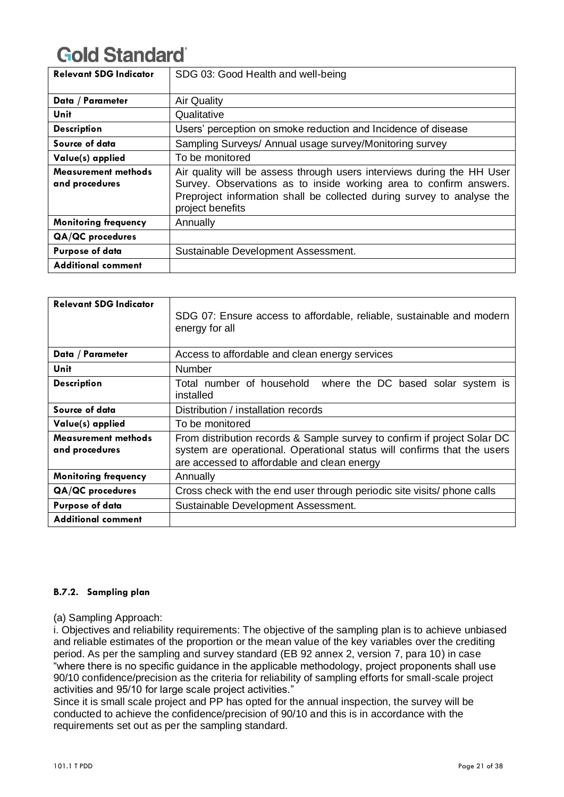| <b>Relevant SDG Indicator</b>                | SDG 03: Good Health and well-being                                                                                                                                                                                                         |
|----------------------------------------------|--------------------------------------------------------------------------------------------------------------------------------------------------------------------------------------------------------------------------------------------|
| Data / Parameter                             | <b>Air Quality</b>                                                                                                                                                                                                                         |
| Unit                                         | Qualitative                                                                                                                                                                                                                                |
| <b>Description</b>                           | Users' perception on smoke reduction and Incidence of disease                                                                                                                                                                              |
| Source of data                               | Sampling Surveys/ Annual usage survey/Monitoring survey                                                                                                                                                                                    |
| Value(s) applied                             | To be monitored                                                                                                                                                                                                                            |
| <b>Measurement methods</b><br>and procedures | Air quality will be assess through users interviews during the HH User<br>Survey. Observations as to inside working area to confirm answers.<br>Preproject information shall be collected during survey to analyse the<br>project benefits |
| <b>Monitoring frequency</b>                  | Annually                                                                                                                                                                                                                                   |
| QA/QC procedures                             |                                                                                                                                                                                                                                            |
| <b>Purpose of data</b>                       | Sustainable Development Assessment.                                                                                                                                                                                                        |
| <b>Additional comment</b>                    |                                                                                                                                                                                                                                            |

| <b>Relevant SDG Indicator</b>                | SDG 07: Ensure access to affordable, reliable, sustainable and modern<br>energy for all                                                                                                            |
|----------------------------------------------|----------------------------------------------------------------------------------------------------------------------------------------------------------------------------------------------------|
| Data / Parameter                             | Access to affordable and clean energy services                                                                                                                                                     |
| Unit                                         | Number                                                                                                                                                                                             |
| <b>Description</b>                           | Total number of household where the DC based solar system is<br>installed                                                                                                                          |
| Source of data                               | Distribution / installation records                                                                                                                                                                |
| Value(s) applied                             | To be monitored                                                                                                                                                                                    |
| <b>Measurement methods</b><br>and procedures | From distribution records & Sample survey to confirm if project Solar DC<br>system are operational. Operational status will confirms that the users<br>are accessed to affordable and clean energy |
| <b>Monitoring frequency</b>                  | Annually                                                                                                                                                                                           |
| QA/QC procedures                             | Cross check with the end user through periodic site visits/ phone calls                                                                                                                            |
| <b>Purpose of data</b>                       | Sustainable Development Assessment.                                                                                                                                                                |
| <b>Additional comment</b>                    |                                                                                                                                                                                                    |

### **B.7.2. Sampling plan**

### (a) Sampling Approach:

i. Objectives and reliability requirements: The objective of the sampling plan is to achieve unbiased and reliable estimates of the proportion or the mean value of the key variables over the crediting period. As per the sampling and survey standard (EB 92 annex 2, version 7, para 10) in case "where there is no specific guidance in the applicable methodology, project proponents shall use 90/10 confidence/precision as the criteria for reliability of sampling efforts for small-scale project activities and 95/10 for large scale project activities."

Since it is small scale project and PP has opted for the annual inspection, the survey will be conducted to achieve the confidence/precision of 90/10 and this is in accordance with the requirements set out as per the sampling standard.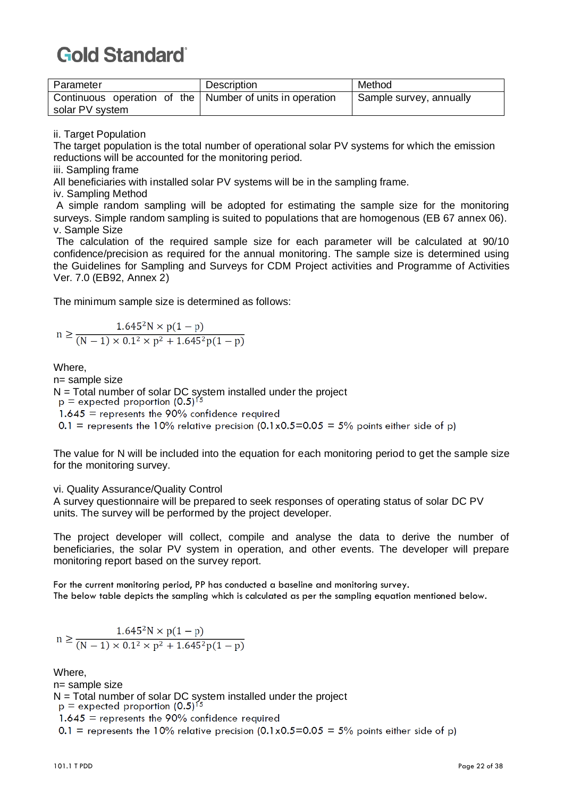| Parameter                                                  | Description | Method                  |
|------------------------------------------------------------|-------------|-------------------------|
| Continuous operation of the   Number of units in operation |             | Sample survey, annually |
| solar PV system                                            |             |                         |

ii. Target Population

The target population is the total number of operational solar PV systems for which the emission reductions will be accounted for the monitoring period.

iii. Sampling frame

All beneficiaries with installed solar PV systems will be in the sampling frame.

iv. Sampling Method

A simple random sampling will be adopted for estimating the sample size for the monitoring surveys. Simple random sampling is suited to populations that are homogenous (EB 67 annex 06). v. Sample Size

The calculation of the required sample size for each parameter will be calculated at 90/10 confidence/precision as required for the annual monitoring. The sample size is determined using the Guidelines for Sampling and Surveys for CDM Project activities and Programme of Activities Ver. 7.0 (EB92, Annex 2)

The minimum sample size is determined as follows:

$$
n \ge \frac{1.645^2 N \times p(1-p)}{(N-1) \times 0.1^2 \times p^2 + 1.645^2 p(1-p)}
$$

Where,

n= sample size

N = Total number of solar DC system installed under the project<br>p = expected proportion  $(0.5)^{15}$ 

 $1.645$  = represents the 90% confidence required

0.1 = represents the 10% relative precision (0.1x0.5=0.05 = 5% points either side of p)

The value for N will be included into the equation for each monitoring period to get the sample size for the monitoring survey.

vi. Quality Assurance/Quality Control

A survey questionnaire will be prepared to seek responses of operating status of solar DC PV units. The survey will be performed by the project developer.

The project developer will collect, compile and analyse the data to derive the number of beneficiaries, the solar PV system in operation, and other events. The developer will prepare monitoring report based on the survey report.

For the current monitoring period, PP has conducted a baseline and monitoring survey. The below table depicts the sampling which is calculated as per the sampling equation mentioned below.

$$
n \ge \frac{1.645^2 N \times p(1-p)}{(N-1) \times 0.1^2 \times p^2 + 1.645^2 p(1-p)}
$$

Where,

n= sample size

N = Total number of solar DC system installed under the project  $p =$  expected proportion  $(0.5)^{15}$ 

 $1.645$  = represents the 90% confidence required

0.1 = represents the 10% relative precision  $(0.1 \times 0.5 = 0.05 = 5\%$  points either side of p)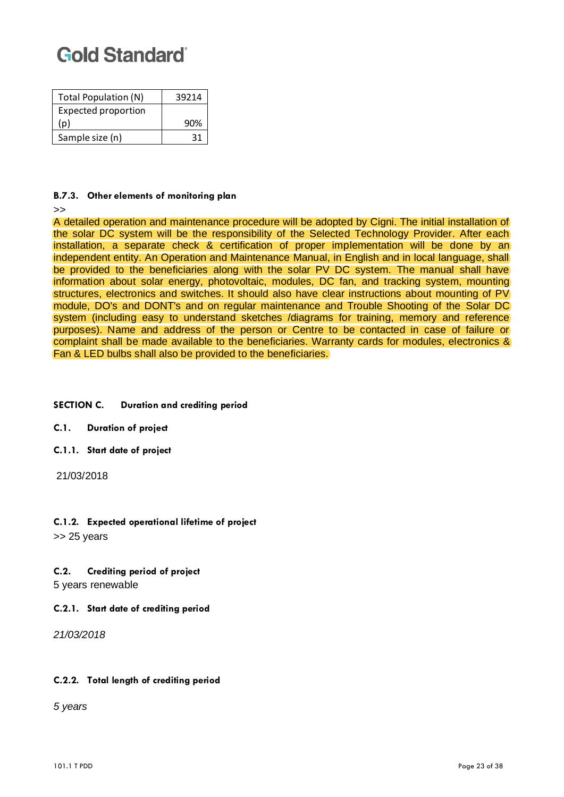| Total Population (N)       | 39214 |
|----------------------------|-------|
| <b>Expected proportion</b> |       |
| (p)                        | 90%   |
| Sample size (n)            | 31    |

#### **B.7.3. Other elements of monitoring plan**

>>

A detailed operation and maintenance procedure will be adopted by Cigni. The initial installation of the solar DC system will be the responsibility of the Selected Technology Provider. After each installation, a separate check & certification of proper implementation will be done by an independent entity. An Operation and Maintenance Manual, in English and in local language, shall be provided to the beneficiaries along with the solar PV DC system. The manual shall have information about solar energy, photovoltaic, modules, DC fan, and tracking system, mounting structures, electronics and switches. It should also have clear instructions about mounting of PV module, DO's and DONT's and on regular maintenance and Trouble Shooting of the Solar DC system (including easy to understand sketches /diagrams for training, memory and reference purposes). Name and address of the person or Centre to be contacted in case of failure or complaint shall be made available to the beneficiaries. Warranty cards for modules, electronics & Fan & LED bulbs shall also be provided to the beneficiaries.

#### **SECTION C. Duration and crediting period**

**C.1. Duration of project** 

- **C.1.1. Start date of project**
- 21/03/2018

### **C.1.2. Expected operational lifetime of project**

>> 25 years

#### **C.2. Crediting period of project**

5 years renewable

#### **C.2.1. Start date of crediting period**

*21/03/2018*

#### **C.2.2. Total length of crediting period**

*5 years*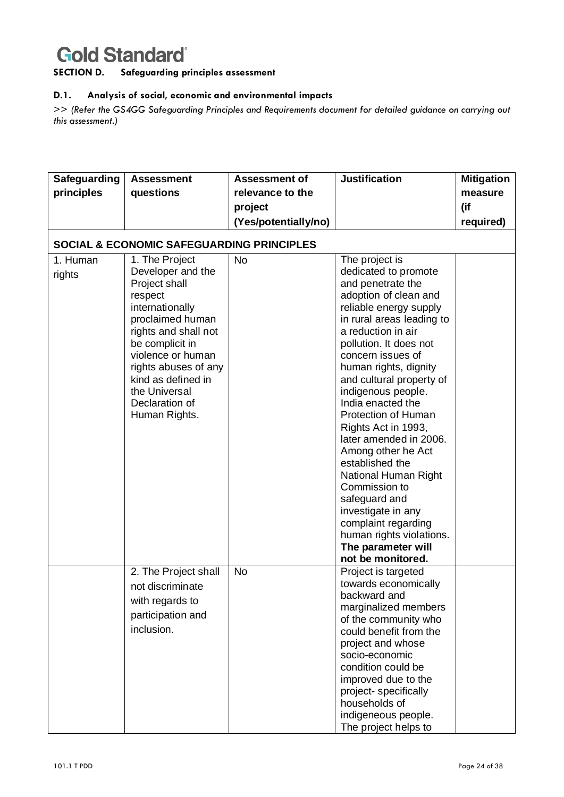**SECTION D. Safeguarding principles assessment**

#### **D.1. Analysis of social, economic and environmental impacts**

>> *(Refer the GS4GG Safeguarding Principles and Requirements document for detailed guidance on carrying out this assessment.)*

| Safeguarding       | <b>Assessment</b>                                                                                                                                                                                                                                                        | <b>Assessment of</b> | <b>Justification</b>                                                                                                                                                                                                                                                                                                                                                                                                                                                                                                                                                                       | <b>Mitigation</b> |
|--------------------|--------------------------------------------------------------------------------------------------------------------------------------------------------------------------------------------------------------------------------------------------------------------------|----------------------|--------------------------------------------------------------------------------------------------------------------------------------------------------------------------------------------------------------------------------------------------------------------------------------------------------------------------------------------------------------------------------------------------------------------------------------------------------------------------------------------------------------------------------------------------------------------------------------------|-------------------|
| principles         | questions                                                                                                                                                                                                                                                                | relevance to the     |                                                                                                                                                                                                                                                                                                                                                                                                                                                                                                                                                                                            | measure           |
|                    |                                                                                                                                                                                                                                                                          | project              |                                                                                                                                                                                                                                                                                                                                                                                                                                                                                                                                                                                            | (if               |
|                    |                                                                                                                                                                                                                                                                          | (Yes/potentially/no) |                                                                                                                                                                                                                                                                                                                                                                                                                                                                                                                                                                                            | required)         |
|                    | <b>SOCIAL &amp; ECONOMIC SAFEGUARDING PRINCIPLES</b>                                                                                                                                                                                                                     |                      |                                                                                                                                                                                                                                                                                                                                                                                                                                                                                                                                                                                            |                   |
| 1. Human<br>rights | 1. The Project<br>Developer and the<br>Project shall<br>respect<br>internationally<br>proclaimed human<br>rights and shall not<br>be complicit in<br>violence or human<br>rights abuses of any<br>kind as defined in<br>the Universal<br>Declaration of<br>Human Rights. | <b>No</b>            | The project is<br>dedicated to promote<br>and penetrate the<br>adoption of clean and<br>reliable energy supply<br>in rural areas leading to<br>a reduction in air<br>pollution. It does not<br>concern issues of<br>human rights, dignity<br>and cultural property of<br>indigenous people.<br>India enacted the<br>Protection of Human<br>Rights Act in 1993,<br>later amended in 2006.<br>Among other he Act<br>established the<br>National Human Right<br>Commission to<br>safeguard and<br>investigate in any<br>complaint regarding<br>human rights violations.<br>The parameter will |                   |
|                    | 2. The Project shall<br>not discriminate<br>with regards to<br>participation and<br>inclusion.                                                                                                                                                                           | No                   | not be monitored.<br>Project is targeted<br>towards economically<br>backward and<br>marginalized members<br>of the community who<br>could benefit from the<br>project and whose<br>socio-economic<br>condition could be<br>improved due to the<br>project- specifically<br>households of<br>indigeneous people.<br>The project helps to                                                                                                                                                                                                                                                    |                   |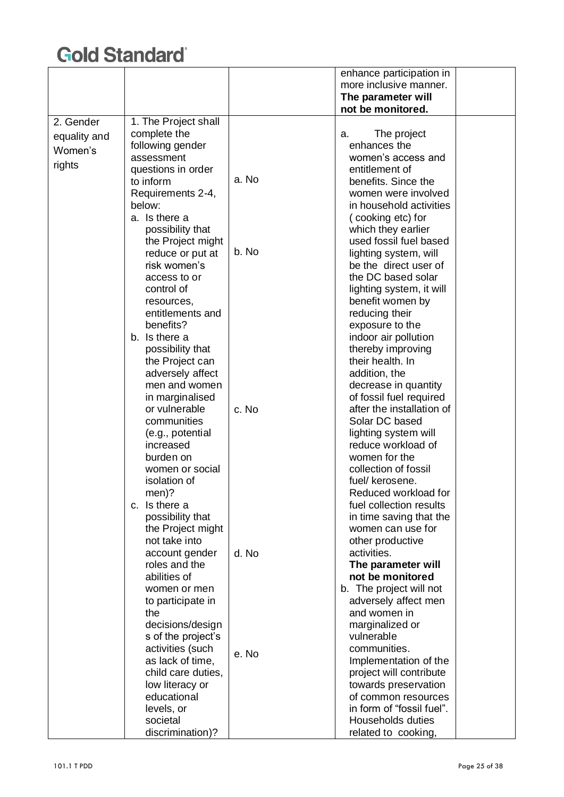|              |                      |       | enhance participation in  |  |
|--------------|----------------------|-------|---------------------------|--|
|              |                      |       | more inclusive manner.    |  |
|              |                      |       | The parameter will        |  |
|              |                      |       | not be monitored.         |  |
| 2. Gender    | 1. The Project shall |       |                           |  |
| equality and | complete the         |       | The project<br>a.         |  |
| Women's      | following gender     |       | enhances the              |  |
|              | assessment           |       | women's access and        |  |
| rights       | questions in order   |       | entitlement of            |  |
|              | to inform            | a. No | benefits. Since the       |  |
|              | Requirements 2-4,    |       | women were involved       |  |
|              | below:               |       | in household activities   |  |
|              | a. Is there a        |       | (cooking etc) for         |  |
|              | possibility that     |       | which they earlier        |  |
|              | the Project might    |       | used fossil fuel based    |  |
|              | reduce or put at     | b. No | lighting system, will     |  |
|              | risk women's         |       | be the direct user of     |  |
|              | access to or         |       | the DC based solar        |  |
|              | control of           |       | lighting system, it will  |  |
|              | resources,           |       | benefit women by          |  |
|              | entitlements and     |       | reducing their            |  |
|              | benefits?            |       | exposure to the           |  |
|              | b. Is there a        |       | indoor air pollution      |  |
|              | possibility that     |       | thereby improving         |  |
|              | the Project can      |       | their health. In          |  |
|              | adversely affect     |       | addition, the             |  |
|              | men and women        |       | decrease in quantity      |  |
|              | in marginalised      |       | of fossil fuel required   |  |
|              | or vulnerable        | c. No | after the installation of |  |
|              | communities          |       | Solar DC based            |  |
|              | (e.g., potential     |       | lighting system will      |  |
|              | increased            |       | reduce workload of        |  |
|              | burden on            |       | women for the             |  |
|              | women or social      |       | collection of fossil      |  |
|              | isolation of         |       | fuel/ kerosene.           |  |
|              | men)?                |       | Reduced workload for      |  |
|              | c. Is there a        |       | fuel collection results   |  |
|              | possibility that     |       | in time saving that the   |  |
|              | the Project might    |       | women can use for         |  |
|              | not take into        |       | other productive          |  |
|              | account gender       | d. No | activities.               |  |
|              | roles and the        |       | The parameter will        |  |
|              | abilities of         |       | not be monitored          |  |
|              | women or men         |       | b. The project will not   |  |
|              | to participate in    |       | adversely affect men      |  |
|              | the                  |       | and women in              |  |
|              | decisions/design     |       | marginalized or           |  |
|              | s of the project's   |       | vulnerable                |  |
|              | activities (such     | e. No | communities.              |  |
|              | as lack of time,     |       | Implementation of the     |  |
|              | child care duties,   |       | project will contribute   |  |
|              | low literacy or      |       | towards preservation      |  |
|              | educational          |       | of common resources       |  |
|              | levels, or           |       | in form of "fossil fuel". |  |
|              | societal             |       | <b>Households duties</b>  |  |
|              | discrimination)?     |       | related to cooking,       |  |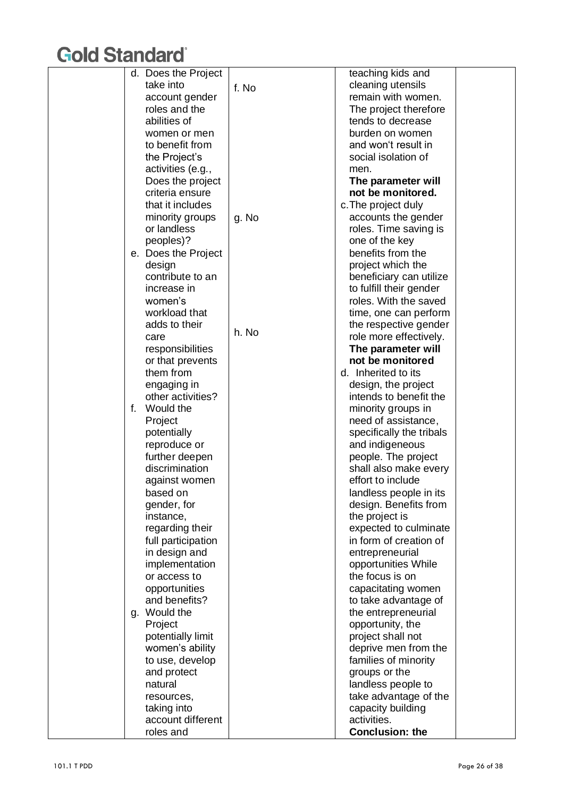|    | d. Does the Project                 |       | teaching kids and                     |  |
|----|-------------------------------------|-------|---------------------------------------|--|
|    | take into                           | f. No | cleaning utensils                     |  |
|    | account gender                      |       | remain with women.                    |  |
|    | roles and the                       |       | The project therefore                 |  |
|    | abilities of                        |       | tends to decrease                     |  |
|    | women or men                        |       | burden on women                       |  |
|    | to benefit from                     |       | and won't result in                   |  |
|    | the Project's                       |       | social isolation of                   |  |
|    | activities (e.g.,                   |       | men.                                  |  |
|    |                                     |       | The parameter will                    |  |
|    | Does the project<br>criteria ensure |       | not be monitored.                     |  |
|    |                                     |       |                                       |  |
|    | that it includes                    |       | c. The project duly                   |  |
|    | minority groups                     | g. No | accounts the gender                   |  |
|    | or landless                         |       | roles. Time saving is                 |  |
|    | peoples)?                           |       | one of the key                        |  |
|    | e. Does the Project                 |       | benefits from the                     |  |
|    | design                              |       | project which the                     |  |
|    | contribute to an                    |       | beneficiary can utilize               |  |
|    | increase in                         |       | to fulfill their gender               |  |
|    | women's                             |       | roles. With the saved                 |  |
|    | workload that                       |       | time, one can perform                 |  |
|    | adds to their                       |       | the respective gender                 |  |
|    | care                                | h. No | role more effectively.                |  |
|    | responsibilities                    |       | The parameter will                    |  |
|    | or that prevents                    |       | not be monitored                      |  |
|    | them from                           |       | d. Inherited to its                   |  |
|    | engaging in                         |       | design, the project                   |  |
|    | other activities?                   |       | intends to benefit the                |  |
| f. | Would the                           |       | minority groups in                    |  |
|    | Project                             |       | need of assistance,                   |  |
|    | potentially                         |       | specifically the tribals              |  |
|    | reproduce or                        |       | and indigeneous                       |  |
|    | further deepen                      |       | people. The project                   |  |
|    | discrimination                      |       | shall also make every                 |  |
|    | against women                       |       | effort to include                     |  |
|    | based on                            |       | landless people in its                |  |
|    | gender, for                         |       | design. Benefits from                 |  |
|    | instance,                           |       | the project is                        |  |
|    | regarding their                     |       | expected to culminate                 |  |
|    | full participation                  |       | in form of creation of                |  |
|    | in design and                       |       | entrepreneurial                       |  |
|    | implementation                      |       | opportunities While                   |  |
|    | or access to                        |       | the focus is on                       |  |
|    | opportunities                       |       | capacitating women                    |  |
|    | and benefits?                       |       | to take advantage of                  |  |
|    | Would the                           |       |                                       |  |
| g. |                                     |       | the entrepreneurial                   |  |
|    | Project                             |       | opportunity, the                      |  |
|    | potentially limit                   |       | project shall not                     |  |
|    | women's ability                     |       | deprive men from the                  |  |
|    | to use, develop                     |       | families of minority                  |  |
|    | and protect                         |       | groups or the                         |  |
|    | natural                             |       | landless people to                    |  |
|    | resources,                          |       | take advantage of the                 |  |
|    | taking into                         |       | capacity building                     |  |
|    | account different                   |       | activities.<br><b>Conclusion: the</b> |  |
|    | roles and                           |       |                                       |  |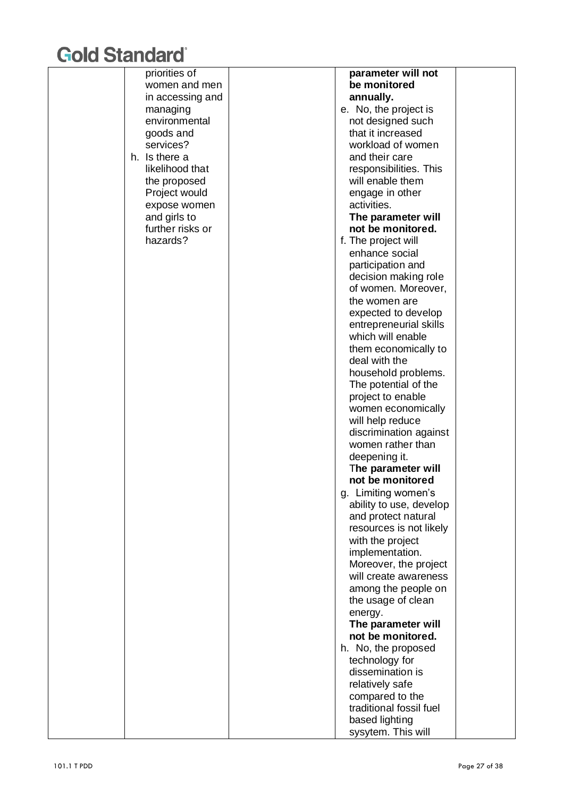| priorities of    | parameter will not                             |  |
|------------------|------------------------------------------------|--|
| women and men    | be monitored                                   |  |
| in accessing and | annually.                                      |  |
| managing         | e. No, the project is                          |  |
| environmental    | not designed such                              |  |
| goods and        | that it increased                              |  |
| services?        | workload of women                              |  |
| h. Is there a    | and their care                                 |  |
| likelihood that  | responsibilities. This                         |  |
| the proposed     | will enable them                               |  |
| Project would    | engage in other                                |  |
| expose women     | activities.                                    |  |
| and girls to     | The parameter will                             |  |
| further risks or | not be monitored.                              |  |
| hazards?         | f. The project will                            |  |
|                  | enhance social                                 |  |
|                  | participation and                              |  |
|                  | decision making role                           |  |
|                  | of women. Moreover,                            |  |
|                  | the women are                                  |  |
|                  | expected to develop                            |  |
|                  | entrepreneurial skills                         |  |
|                  | which will enable                              |  |
|                  | them economically to                           |  |
|                  | deal with the                                  |  |
|                  | household problems.                            |  |
|                  | The potential of the                           |  |
|                  | project to enable                              |  |
|                  | women economically                             |  |
|                  | will help reduce                               |  |
|                  | discrimination against                         |  |
|                  | women rather than                              |  |
|                  | deepening it.                                  |  |
|                  | The parameter will<br>not be monitored         |  |
|                  |                                                |  |
|                  | g. Limiting women's                            |  |
|                  | ability to use, develop<br>and protect natural |  |
|                  | resources is not likely                        |  |
|                  | with the project                               |  |
|                  | implementation.                                |  |
|                  | Moreover, the project                          |  |
|                  | will create awareness                          |  |
|                  | among the people on                            |  |
|                  | the usage of clean                             |  |
|                  | energy.                                        |  |
|                  | The parameter will                             |  |
|                  | not be monitored.                              |  |
|                  | h. No, the proposed                            |  |
|                  | technology for                                 |  |
|                  | dissemination is                               |  |
|                  | relatively safe                                |  |
|                  | compared to the                                |  |
|                  | traditional fossil fuel                        |  |
|                  | based lighting                                 |  |
|                  | sysytem. This will                             |  |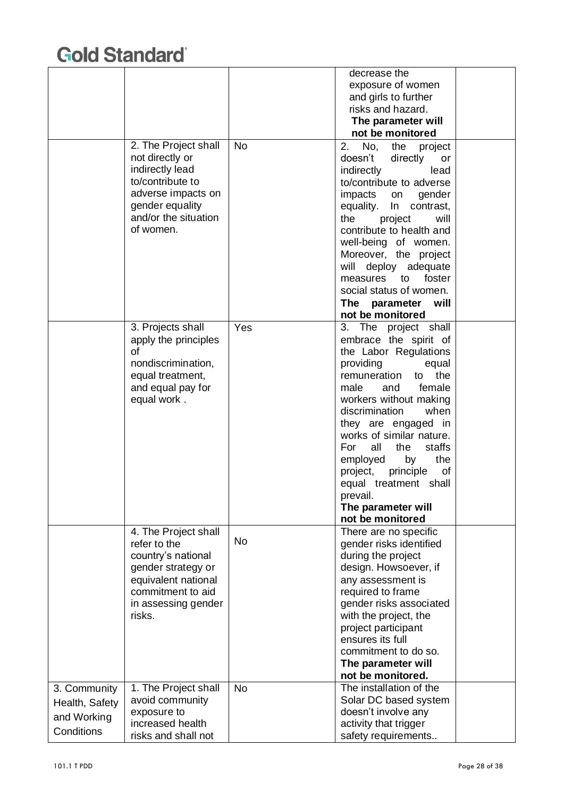|                |                      |           | decrease the                                     |  |
|----------------|----------------------|-----------|--------------------------------------------------|--|
|                |                      |           | exposure of women                                |  |
|                |                      |           | and girls to further                             |  |
|                |                      |           | risks and hazard.                                |  |
|                |                      |           |                                                  |  |
|                |                      |           | The parameter will                               |  |
|                |                      |           | not be monitored                                 |  |
|                | 2. The Project shall | <b>No</b> | No,<br>2.<br>the<br>project                      |  |
|                | not directly or      |           | doesn't<br>directly<br>or                        |  |
|                | indirectly lead      |           | indirectly<br>lead                               |  |
|                | to/contribute to     |           | to/contribute to adverse                         |  |
|                | adverse impacts on   |           | impacts<br>gender<br>on                          |  |
|                | gender equality      |           | contrast,<br>equality.<br>In                     |  |
|                | and/or the situation |           | the<br>project<br>will                           |  |
|                | of women.            |           | contribute to health and                         |  |
|                |                      |           | well-being of women.                             |  |
|                |                      |           | Moreover, the project                            |  |
|                |                      |           | will<br>deploy<br>adequate                       |  |
|                |                      |           | foster<br>measures<br>to                         |  |
|                |                      |           | social status of women.                          |  |
|                |                      |           | The<br>parameter<br>will                         |  |
|                |                      |           | not be monitored                                 |  |
|                | 3. Projects shall    | Yes       | 3. The project shall                             |  |
|                | apply the principles |           | embrace the spirit of                            |  |
|                | οf                   |           | the Labor Regulations                            |  |
|                | nondiscrimination,   |           | providing<br>equal                               |  |
|                | equal treatment,     |           | remuneration<br>the<br>to                        |  |
|                |                      |           | female<br>male<br>and                            |  |
|                | and equal pay for    |           |                                                  |  |
|                | equal work.          |           | workers without making<br>discrimination<br>when |  |
|                |                      |           |                                                  |  |
|                |                      |           | they are engaged in                              |  |
|                |                      |           | works of similar nature.                         |  |
|                |                      |           | For<br>all<br>staffs<br>the                      |  |
|                |                      |           | the<br>employed<br>by                            |  |
|                |                      |           | principle<br>of<br>project,                      |  |
|                |                      |           | equal treatment<br>shall                         |  |
|                |                      |           | prevail.                                         |  |
|                |                      |           | The parameter will                               |  |
|                |                      |           | not be monitored                                 |  |
|                | 4. The Project shall | No        | There are no specific                            |  |
|                | refer to the         |           | gender risks identified                          |  |
|                | country's national   |           | during the project                               |  |
|                | gender strategy or   |           | design. Howsoever, if                            |  |
|                | equivalent national  |           | any assessment is                                |  |
|                | commitment to aid    |           | required to frame                                |  |
|                | in assessing gender  |           | gender risks associated                          |  |
|                | risks.               |           | with the project, the                            |  |
|                |                      |           | project participant                              |  |
|                |                      |           | ensures its full                                 |  |
|                |                      |           | commitment to do so.                             |  |
|                |                      |           | The parameter will                               |  |
|                |                      |           | not be monitored.                                |  |
| 3. Community   | 1. The Project shall | <b>No</b> | The installation of the                          |  |
| Health, Safety | avoid community      |           | Solar DC based system                            |  |
| and Working    | exposure to          |           | doesn't involve any                              |  |
| Conditions     | increased health     |           | activity that trigger                            |  |
|                | risks and shall not  |           | safety requirements                              |  |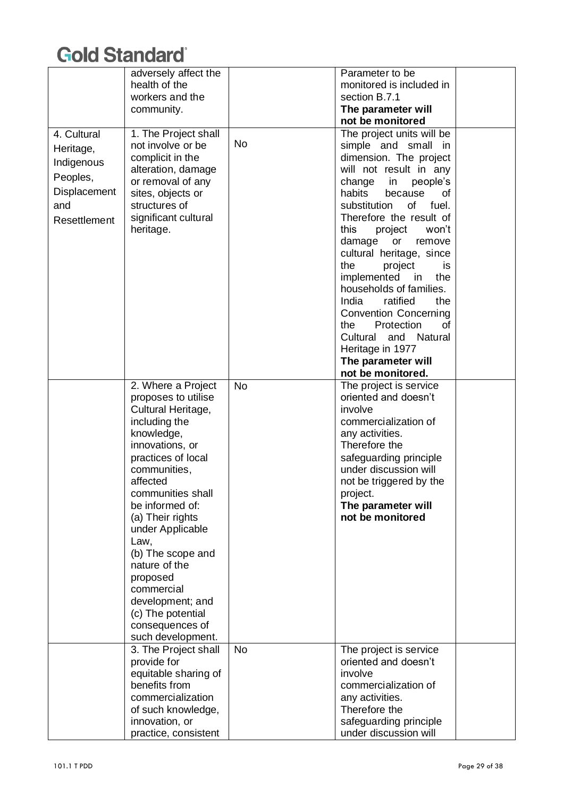|                                                                                           | adversely affect the<br>health of the<br>workers and the<br>community.                                                                                                                                                                                                                                                                                                                                       |           | Parameter to be<br>monitored is included in<br>section B.7.1<br>The parameter will<br>not be monitored                                                                                                                                                                                                                                                                                                                                                                                                                                                                       |  |
|-------------------------------------------------------------------------------------------|--------------------------------------------------------------------------------------------------------------------------------------------------------------------------------------------------------------------------------------------------------------------------------------------------------------------------------------------------------------------------------------------------------------|-----------|------------------------------------------------------------------------------------------------------------------------------------------------------------------------------------------------------------------------------------------------------------------------------------------------------------------------------------------------------------------------------------------------------------------------------------------------------------------------------------------------------------------------------------------------------------------------------|--|
| 4. Cultural<br>Heritage,<br>Indigenous<br>Peoples,<br>Displacement<br>and<br>Resettlement | 1. The Project shall<br>not involve or be<br>complicit in the<br>alteration, damage<br>or removal of any<br>sites, objects or<br>structures of<br>significant cultural<br>heritage.                                                                                                                                                                                                                          | No        | The project units will be<br>simple and small in<br>dimension. The project<br>will not result in any<br>change<br>in<br>people's<br>habits<br>because<br>οf<br>substitution<br>of<br>fuel.<br>Therefore the result of<br>this<br>project<br>won't<br>damage<br>or<br>remove<br>cultural heritage, since<br>the<br>project<br>is.<br>implemented<br>the<br>in<br>households of families.<br>India<br>ratified<br>the<br><b>Convention Concerning</b><br>Protection<br>the.<br>οf<br>Cultural<br>Natural<br>and<br>Heritage in 1977<br>The parameter will<br>not be monitored. |  |
|                                                                                           | 2. Where a Project<br>proposes to utilise<br>Cultural Heritage,<br>including the<br>knowledge,<br>innovations, or<br>practices of local<br>communities,<br>affected<br>communities shall<br>be informed of:<br>(a) Their rights<br>under Applicable<br>Law,<br>(b) The scope and<br>nature of the<br>proposed<br>commercial<br>development; and<br>(c) The potential<br>consequences of<br>such development. | <b>No</b> | The project is service<br>oriented and doesn't<br>involve<br>commercialization of<br>any activities.<br>Therefore the<br>safeguarding principle<br>under discussion will<br>not be triggered by the<br>project.<br>The parameter will<br>not be monitored                                                                                                                                                                                                                                                                                                                    |  |
|                                                                                           | 3. The Project shall<br>provide for<br>equitable sharing of<br>benefits from<br>commercialization<br>of such knowledge,<br>innovation, or<br>practice, consistent                                                                                                                                                                                                                                            | <b>No</b> | The project is service<br>oriented and doesn't<br>involve<br>commercialization of<br>any activities.<br>Therefore the<br>safeguarding principle<br>under discussion will                                                                                                                                                                                                                                                                                                                                                                                                     |  |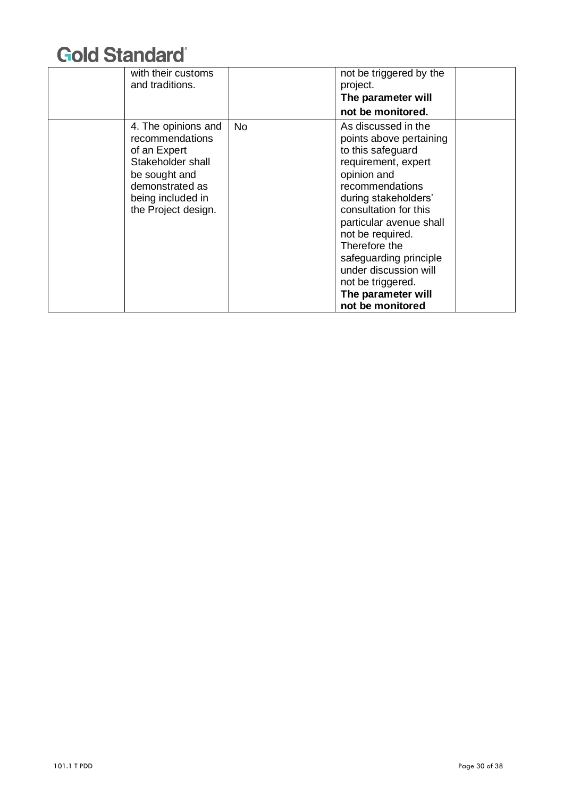| with their customs<br>and traditions.                                                                                                                       |     | not be triggered by the<br>project.<br>The parameter will<br>not be monitored.                                                                                                                                                                                                                                                                                  |  |
|-------------------------------------------------------------------------------------------------------------------------------------------------------------|-----|-----------------------------------------------------------------------------------------------------------------------------------------------------------------------------------------------------------------------------------------------------------------------------------------------------------------------------------------------------------------|--|
| 4. The opinions and<br>recommendations<br>of an Expert<br>Stakeholder shall<br>be sought and<br>demonstrated as<br>being included in<br>the Project design. | No. | As discussed in the<br>points above pertaining<br>to this safeguard<br>requirement, expert<br>opinion and<br>recommendations<br>during stakeholders'<br>consultation for this<br>particular avenue shall<br>not be required.<br>Therefore the<br>safeguarding principle<br>under discussion will<br>not be triggered.<br>The parameter will<br>not be monitored |  |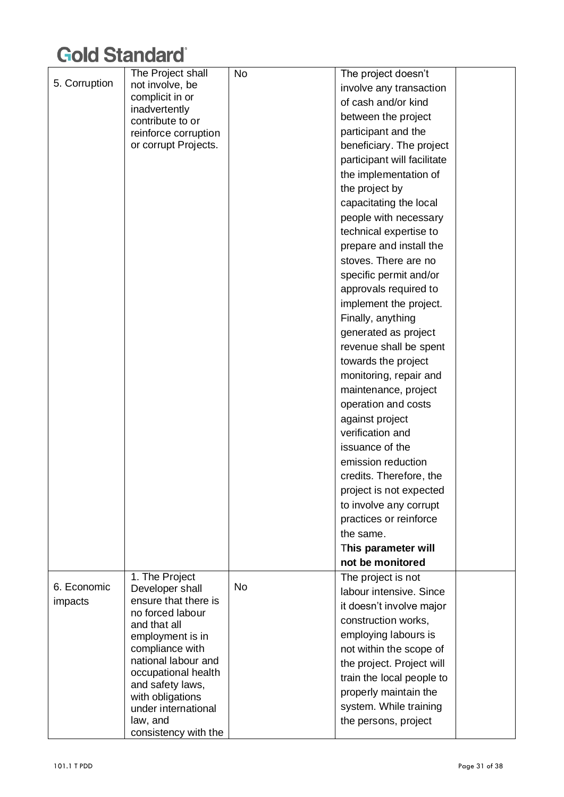|               | The Project shall                        | No | The project doesn't         |  |
|---------------|------------------------------------------|----|-----------------------------|--|
| 5. Corruption | not involve, be                          |    | involve any transaction     |  |
|               | complicit in or                          |    | of cash and/or kind         |  |
|               | inadvertently                            |    | between the project         |  |
|               | contribute to or<br>reinforce corruption |    | participant and the         |  |
|               | or corrupt Projects.                     |    | beneficiary. The project    |  |
|               |                                          |    | participant will facilitate |  |
|               |                                          |    | the implementation of       |  |
|               |                                          |    | the project by              |  |
|               |                                          |    | capacitating the local      |  |
|               |                                          |    | people with necessary       |  |
|               |                                          |    | technical expertise to      |  |
|               |                                          |    | prepare and install the     |  |
|               |                                          |    | stoves. There are no        |  |
|               |                                          |    | specific permit and/or      |  |
|               |                                          |    | approvals required to       |  |
|               |                                          |    | implement the project.      |  |
|               |                                          |    | Finally, anything           |  |
|               |                                          |    | generated as project        |  |
|               |                                          |    | revenue shall be spent      |  |
|               |                                          |    | towards the project         |  |
|               |                                          |    | monitoring, repair and      |  |
|               |                                          |    | maintenance, project        |  |
|               |                                          |    | operation and costs         |  |
|               |                                          |    | against project             |  |
|               |                                          |    | verification and            |  |
|               |                                          |    | issuance of the             |  |
|               |                                          |    | emission reduction          |  |
|               |                                          |    | credits. Therefore, the     |  |
|               |                                          |    | project is not expected     |  |
|               |                                          |    | to involve any corrupt      |  |
|               |                                          |    | practices or reinforce      |  |
|               |                                          |    | the same.                   |  |
|               |                                          |    | This parameter will         |  |
|               |                                          |    | not be monitored            |  |
|               | 1. The Project                           |    | The project is not          |  |
| 6. Economic   | Developer shall                          | No | labour intensive. Since     |  |
| impacts       | ensure that there is                     |    | it doesn't involve major    |  |
|               | no forced labour<br>and that all         |    | construction works,         |  |
|               | employment is in                         |    | employing labours is        |  |
|               | compliance with                          |    | not within the scope of     |  |
|               | national labour and                      |    | the project. Project will   |  |
|               | occupational health                      |    | train the local people to   |  |
|               | and safety laws,                         |    | properly maintain the       |  |
|               | with obligations<br>under international  |    | system. While training      |  |
|               | law, and                                 |    | the persons, project        |  |
|               | consistency with the                     |    |                             |  |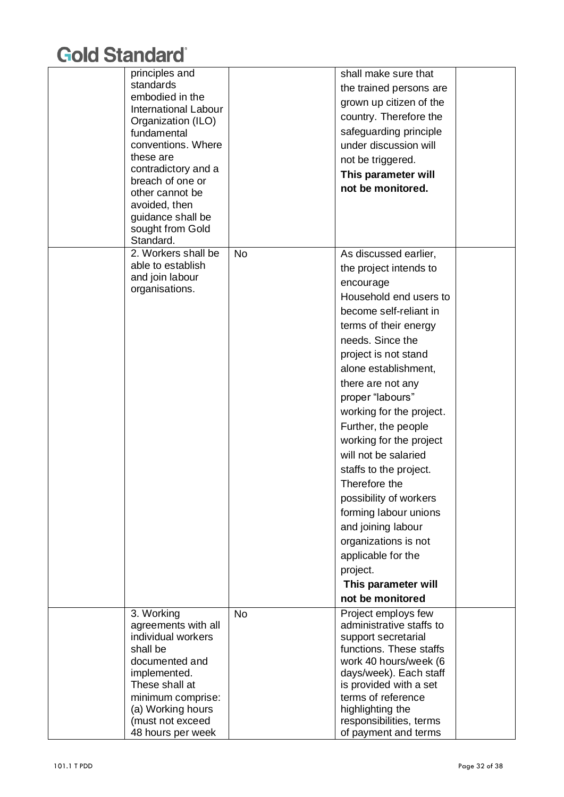| principles and                          |           | shall make sure that     |  |
|-----------------------------------------|-----------|--------------------------|--|
| standards                               |           | the trained persons are  |  |
| embodied in the                         |           | grown up citizen of the  |  |
| <b>International Labour</b>             |           | country. Therefore the   |  |
| Organization (ILO)                      |           |                          |  |
| fundamental                             |           | safeguarding principle   |  |
| conventions. Where                      |           | under discussion will    |  |
| these are                               |           | not be triggered.        |  |
| contradictory and a<br>breach of one or |           | This parameter will      |  |
| other cannot be                         |           | not be monitored.        |  |
| avoided, then                           |           |                          |  |
| guidance shall be                       |           |                          |  |
| sought from Gold                        |           |                          |  |
| Standard.                               |           |                          |  |
| 2. Workers shall be                     | <b>No</b> | As discussed earlier,    |  |
| able to establish                       |           | the project intends to   |  |
| and join labour                         |           | encourage                |  |
| organisations.                          |           | Household end users to   |  |
|                                         |           | become self-reliant in   |  |
|                                         |           |                          |  |
|                                         |           | terms of their energy    |  |
|                                         |           | needs. Since the         |  |
|                                         |           | project is not stand     |  |
|                                         |           | alone establishment,     |  |
|                                         |           | there are not any        |  |
|                                         |           | proper "labours"         |  |
|                                         |           | working for the project. |  |
|                                         |           | Further, the people      |  |
|                                         |           | working for the project  |  |
|                                         |           | will not be salaried     |  |
|                                         |           |                          |  |
|                                         |           | staffs to the project.   |  |
|                                         |           | Therefore the            |  |
|                                         |           | possibility of workers   |  |
|                                         |           | forming labour unions    |  |
|                                         |           | and joining labour       |  |
|                                         |           | organizations is not     |  |
|                                         |           | applicable for the       |  |
|                                         |           | project.                 |  |
|                                         |           | This parameter will      |  |
|                                         |           | not be monitored         |  |
| 3. Working                              | <b>No</b> | Project employs few      |  |
| agreements with all                     |           | administrative staffs to |  |
| individual workers                      |           | support secretarial      |  |
| shall be                                |           | functions. These staffs  |  |
| documented and                          |           | work 40 hours/week (6    |  |
| implemented.                            |           | days/week). Each staff   |  |
| These shall at                          |           | is provided with a set   |  |
| minimum comprise:                       |           | terms of reference       |  |
| (a) Working hours                       |           | highlighting the         |  |
| (must not exceed                        |           | responsibilities, terms  |  |
| 48 hours per week                       |           | of payment and terms     |  |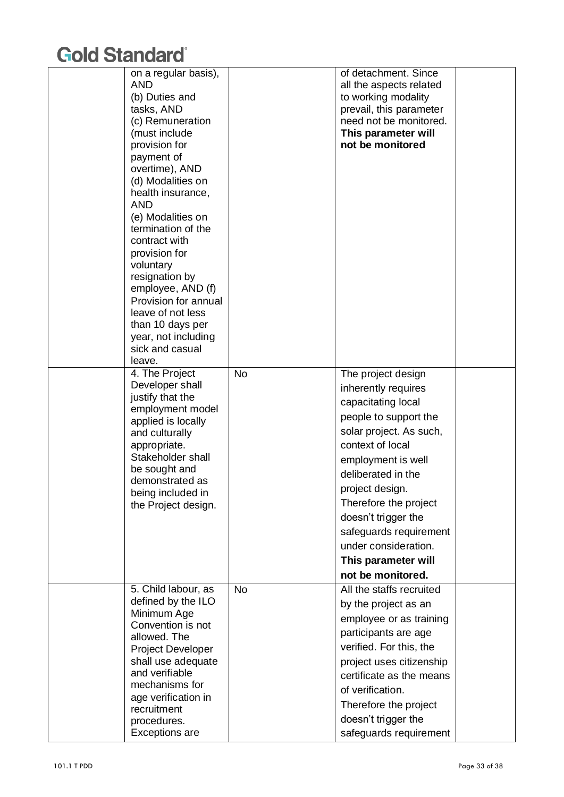| on a regular basis),<br><b>AND</b><br>(b) Duties and<br>tasks, AND<br>(c) Remuneration<br>(must include<br>provision for<br>payment of<br>overtime), AND<br>(d) Modalities on<br>health insurance,<br><b>AND</b><br>(e) Modalities on<br>termination of the<br>contract with<br>provision for<br>voluntary<br>resignation by<br>employee, AND (f)<br>Provision for annual<br>leave of not less<br>than 10 days per<br>year, not including<br>sick and casual<br>leave. |           | of detachment. Since<br>all the aspects related<br>to working modality<br>prevail, this parameter<br>need not be monitored.<br>This parameter will<br>not be monitored                                                                                                                                                                               |  |
|------------------------------------------------------------------------------------------------------------------------------------------------------------------------------------------------------------------------------------------------------------------------------------------------------------------------------------------------------------------------------------------------------------------------------------------------------------------------|-----------|------------------------------------------------------------------------------------------------------------------------------------------------------------------------------------------------------------------------------------------------------------------------------------------------------------------------------------------------------|--|
| 4. The Project<br>Developer shall<br>justify that the<br>employment model<br>applied is locally<br>and culturally<br>appropriate.<br>Stakeholder shall<br>be sought and<br>demonstrated as<br>being included in<br>the Project design.                                                                                                                                                                                                                                 | <b>No</b> | The project design<br>inherently requires<br>capacitating local<br>people to support the<br>solar project. As such,<br>context of local<br>employment is well<br>deliberated in the<br>project design.<br>Therefore the project<br>doesn't trigger the<br>safeguards requirement<br>under consideration.<br>This parameter will<br>not be monitored. |  |
| 5. Child labour, as<br>defined by the ILO<br>Minimum Age<br>Convention is not<br>allowed. The<br><b>Project Developer</b><br>shall use adequate<br>and verifiable<br>mechanisms for<br>age verification in<br>recruitment<br>procedures.<br>Exceptions are                                                                                                                                                                                                             | <b>No</b> | All the staffs recruited<br>by the project as an<br>employee or as training<br>participants are age<br>verified. For this, the<br>project uses citizenship<br>certificate as the means<br>of verification.<br>Therefore the project<br>doesn't trigger the<br>safeguards requirement                                                                 |  |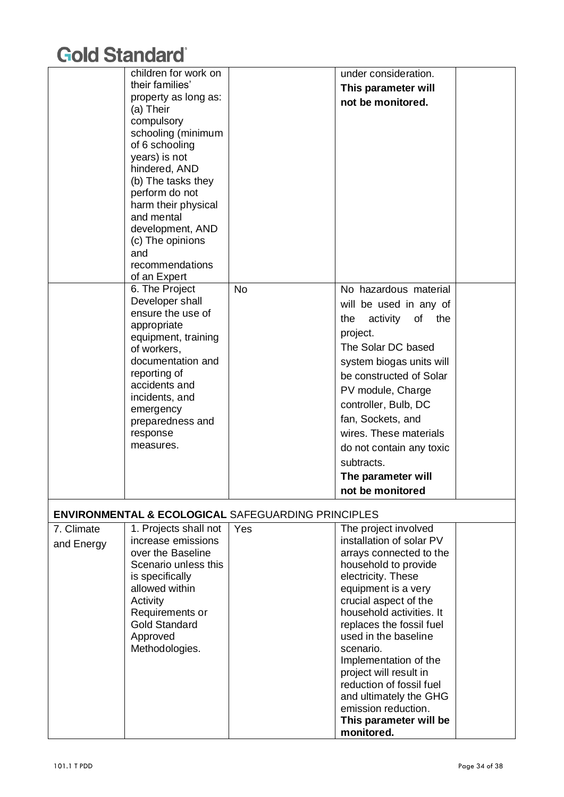|            | children for work on              |                                                               | under consideration.                         |  |
|------------|-----------------------------------|---------------------------------------------------------------|----------------------------------------------|--|
|            | their families'                   |                                                               | This parameter will                          |  |
|            | property as long as:<br>(a) Their |                                                               | not be monitored.                            |  |
|            | compulsory                        |                                                               |                                              |  |
|            | schooling (minimum                |                                                               |                                              |  |
|            | of 6 schooling                    |                                                               |                                              |  |
|            | years) is not                     |                                                               |                                              |  |
|            | hindered, AND                     |                                                               |                                              |  |
|            | (b) The tasks they                |                                                               |                                              |  |
|            | perform do not                    |                                                               |                                              |  |
|            | harm their physical               |                                                               |                                              |  |
|            | and mental                        |                                                               |                                              |  |
|            | development, AND                  |                                                               |                                              |  |
|            | (c) The opinions                  |                                                               |                                              |  |
|            | and                               |                                                               |                                              |  |
|            | recommendations                   |                                                               |                                              |  |
|            | of an Expert                      |                                                               |                                              |  |
|            | 6. The Project<br>Developer shall | <b>No</b>                                                     | No hazardous material                        |  |
|            | ensure the use of                 |                                                               | will be used in any of                       |  |
|            | appropriate                       |                                                               | activity<br>of the<br>the                    |  |
|            | equipment, training               |                                                               | project.                                     |  |
|            | of workers,                       |                                                               | The Solar DC based                           |  |
|            | documentation and                 |                                                               | system biogas units will                     |  |
|            | reporting of                      |                                                               | be constructed of Solar                      |  |
|            | accidents and                     |                                                               | PV module, Charge                            |  |
|            | incidents, and                    |                                                               |                                              |  |
|            | emergency                         |                                                               | controller, Bulb, DC                         |  |
|            | preparedness and                  |                                                               | fan, Sockets, and                            |  |
|            | response                          |                                                               | wires. These materials                       |  |
|            | measures.                         |                                                               | do not contain any toxic                     |  |
|            |                                   |                                                               | subtracts.                                   |  |
|            |                                   |                                                               | The parameter will                           |  |
|            |                                   |                                                               | not be monitored                             |  |
|            |                                   |                                                               |                                              |  |
|            |                                   | <b>ENVIRONMENTAL &amp; ECOLOGICAL SAFEGUARDING PRINCIPLES</b> |                                              |  |
| 7. Climate | 1. Projects shall not             | Yes                                                           | The project involved                         |  |
| and Energy | increase emissions                |                                                               | installation of solar PV                     |  |
|            | over the Baseline                 |                                                               | arrays connected to the                      |  |
|            | Scenario unless this              |                                                               | household to provide                         |  |
|            | is specifically<br>allowed within |                                                               | electricity. These                           |  |
|            | Activity                          |                                                               | equipment is a very<br>crucial aspect of the |  |
|            | Requirements or                   |                                                               | household activities. It                     |  |
|            | <b>Gold Standard</b>              |                                                               | replaces the fossil fuel                     |  |
|            | Approved                          |                                                               | used in the baseline                         |  |
|            | Methodologies.                    |                                                               | scenario.                                    |  |
|            |                                   |                                                               | Implementation of the                        |  |
|            |                                   |                                                               | project will result in                       |  |
|            |                                   |                                                               | reduction of fossil fuel                     |  |
|            |                                   |                                                               | and ultimately the GHG                       |  |
|            |                                   |                                                               | emission reduction.                          |  |
|            |                                   |                                                               | This parameter will be                       |  |
|            |                                   |                                                               | monitored.                                   |  |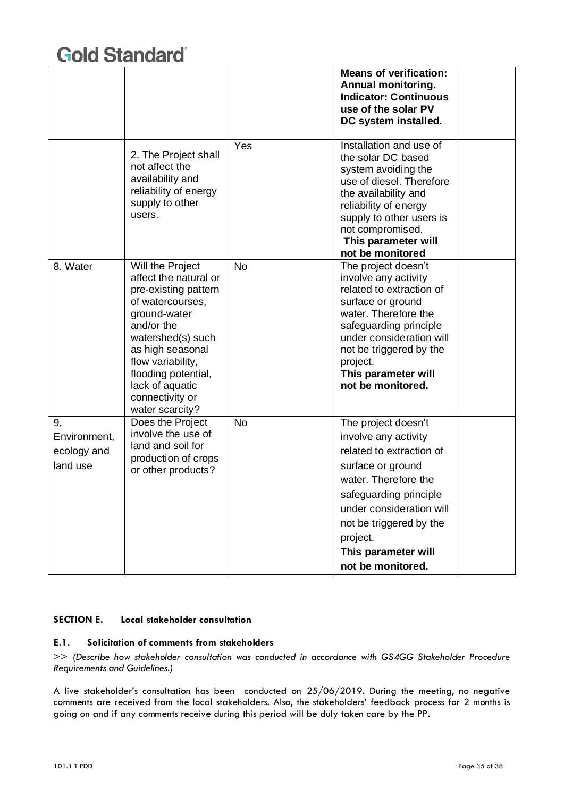|                                               |                                                                                                                                                                                                                                                                   |           | <b>Means of verification:</b><br>Annual monitoring.<br><b>Indicator: Continuous</b><br>use of the solar PV<br>DC system installed.                                                                                                                            |  |
|-----------------------------------------------|-------------------------------------------------------------------------------------------------------------------------------------------------------------------------------------------------------------------------------------------------------------------|-----------|---------------------------------------------------------------------------------------------------------------------------------------------------------------------------------------------------------------------------------------------------------------|--|
|                                               | 2. The Project shall<br>not affect the<br>availability and<br>reliability of energy<br>supply to other<br>users.                                                                                                                                                  | Yes       | Installation and use of<br>the solar DC based<br>system avoiding the<br>use of diesel. Therefore<br>the availability and<br>reliability of energy<br>supply to other users is<br>not compromised.<br>This parameter will<br>not be monitored                  |  |
| 8. Water                                      | Will the Project<br>affect the natural or<br>pre-existing pattern<br>of watercourses,<br>ground-water<br>and/or the<br>watershed(s) such<br>as high seasonal<br>flow variability,<br>flooding potential,<br>lack of aquatic<br>connectivity or<br>water scarcity? | <b>No</b> | The project doesn't<br>involve any activity<br>related to extraction of<br>surface or ground<br>water. Therefore the<br>safeguarding principle<br>under consideration will<br>not be triggered by the<br>project.<br>This parameter will<br>not be monitored. |  |
| 9.<br>Environment,<br>ecology and<br>land use | Does the Project<br>involve the use of<br>land and soil for<br>production of crops<br>or other products?                                                                                                                                                          | <b>No</b> | The project doesn't<br>involve any activity<br>related to extraction of<br>surface or ground<br>water. Therefore the<br>safeguarding principle<br>under consideration will<br>not be triggered by the<br>project.<br>This parameter will<br>not be monitored. |  |

#### **SECTION E. Local stakeholder consultation**

#### **E.1. Solicitation of comments from stakeholders**

>> *(Describe how stakeholder consultation was conducted in accordance with GS4GG Stakeholder Procedure Requirements and Guidelines.)*

A live stakeholder's consultation has been conducted on 25/06/2019. During the meeting, no negative comments are received from the local stakeholders. Also, the stakeholders' feedback process for 2 months is going on and if any comments receive during this period will be duly taken care by the PP.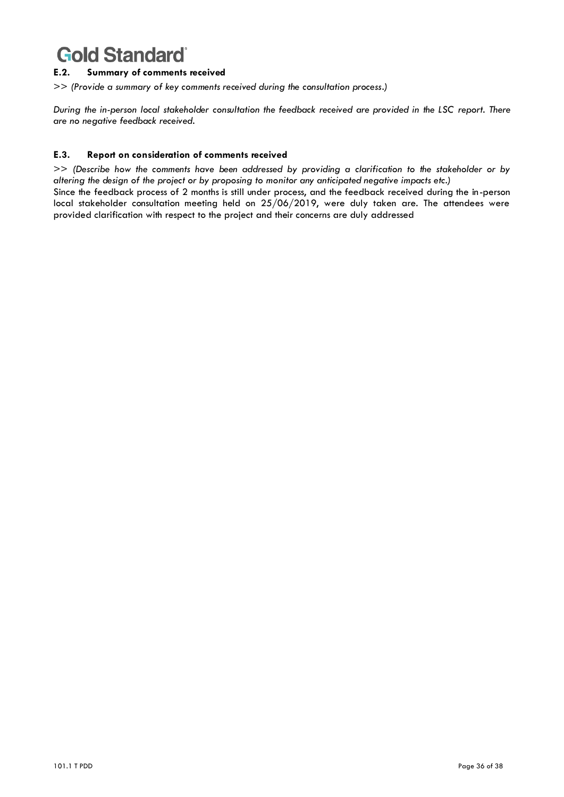#### **E.2. Summary of comments received**

>> *(Provide a summary of key comments received during the consultation process.)*

*During the in-person local stakeholder consultation the feedback received are provided in the LSC report. There are no negative feedback received.*

#### **E.3. Report on consideration of comments received**

>> *(Describe how the comments have been addressed by providing a clarification to the stakeholder or by altering the design of the project or by proposing to monitor any anticipated negative impacts etc.)*

Since the feedback process of 2 months is still under process, and the feedback received during the in-person local stakeholder consultation meeting held on 25/06/2019, were duly taken are. The attendees were provided clarification with respect to the project and their concerns are duly addressed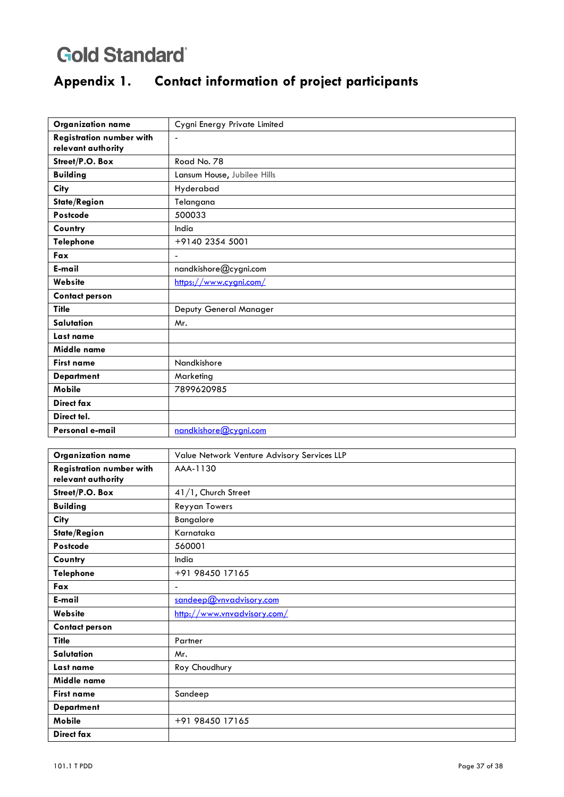## **Appendix 1. Contact information of project participants**

| <b>Organization name</b>        | Cygni Energy Private Limited |
|---------------------------------|------------------------------|
| <b>Registration number with</b> | $\overline{\phantom{0}}$     |
| relevant authority              |                              |
| Street/P.O. Box                 | Road No. 78                  |
| <b>Building</b>                 | Lansum House, Jubilee Hills  |
| City                            | Hyderabad                    |
| State/Region                    | Telangana                    |
| Postcode                        | 500033                       |
| Country                         | India                        |
| Telephone                       | +9140 2354 5001              |
| Fax                             | $\overline{a}$               |
| E-mail                          | nandkishore@cygni.com        |
| Website                         | https://www.cygni.com/       |
| <b>Contact person</b>           |                              |
| <b>Title</b>                    | Deputy General Manager       |
| Salutation                      | Mr.                          |
| Last name                       |                              |
| Middle name                     |                              |
| <b>First name</b>               | Nandkishore                  |
| <b>Department</b>               | Marketing                    |
| <b>Mobile</b>                   | 7899620985                   |
| Direct fax                      |                              |
| Direct tel.                     |                              |
| Personal e-mail                 | nandkishore@cygni.com        |

| <b>Organization name</b>        | Value Network Venture Advisory Services LLP |
|---------------------------------|---------------------------------------------|
| <b>Registration number with</b> | AAA-1130                                    |
| relevant authority              |                                             |
| Street/P.O. Box                 | 41/1, Church Street                         |
| <b>Building</b>                 | Reyyan Towers                               |
| City                            | Bangalore                                   |
| State/Region                    | Karnataka                                   |
| Postcode                        | 560001                                      |
| Country                         | India                                       |
| <b>Telephone</b>                | +91 98450 17165                             |
| Fax                             | $\blacksquare$                              |
| E-mail                          | sandeep@vnvadvisory.com                     |
| Website                         | http://www.vnvadvisory.com/                 |
| <b>Contact person</b>           |                                             |
| <b>Title</b>                    | Partner                                     |
| Salutation                      | Mr.                                         |
| Last name                       | Roy Choudhury                               |
| Middle name                     |                                             |
| <b>First name</b>               | Sandeep                                     |
| <b>Department</b>               |                                             |
| Mobile                          | +91 98450 17165                             |
| Direct fax                      |                                             |